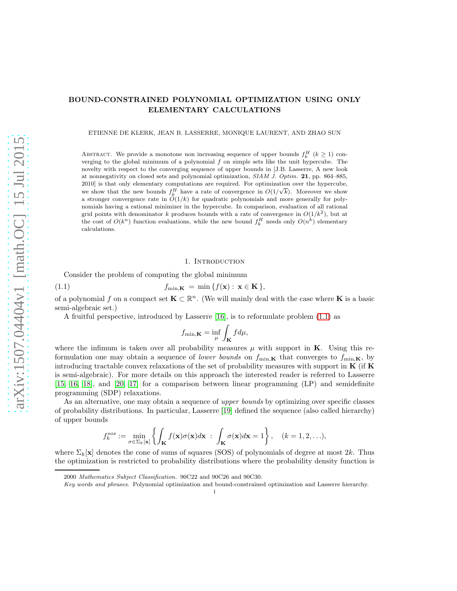## BOUND-CONSTRAINED POLYNOMIAL OPTIMIZATION USING ONLY ELEMENTARY CALCULATIONS

ETIENNE DE KLERK, JEAN B. LASSERRE, MONIQUE LAURENT, AND ZHAO SUN

ABSTRACT. We provide a monotone non increasing sequence of upper bounds  $f_k^H$  ( $k \geq 1$ ) converging to the global minimum of a polynomial  $f$  on simple sets like the unit hypercube. The novelty with respect to the converging sequence of upper bounds in [J.B. Lasserre, A new look at nonnegativity on closed sets and polynomial optimization, *SIAM J. Optim.* 21, pp. 864–885, 2010] is that only elementary computations are required. For optimization over the hypercube, we show that the new bounds  $f_k^H$  have a rate of convergence in  $O(1/\sqrt{k})$ . Moreover we show a stronger convergence rate in  $O(1/k)$  for quadratic polynomials and more generally for polynomials having a rational minimizer in the hypercube. In comparison, evaluation of all rational grid points with denominator k produces bounds with a rate of convergence in  $O(1/k^2)$ , but at the cost of  $O(k^n)$  function evaluations, while the new bound  $f_k^H$  needs only  $O(n^k)$  elementary calculations.

### <span id="page-0-0"></span>1. INTRODUCTION

Consider the problem of computing the global minimum

(1.1) 
$$
f_{\min,\mathbf{K}} = \min \{f(\mathbf{x}): \mathbf{x} \in \mathbf{K}\},
$$

of a polynomial f on a compact set  $\mathbf{K} \subset \mathbb{R}^n$ . (We will mainly deal with the case where  $\mathbf{K}$  is a basic semi-algebraic set.)

A fruitful perspective, introduced by Lasserre [\[16\]](#page-22-0), is to reformulate problem [\(1.1\)](#page-0-0) as

$$
f_{\min,\mathbf{K}} = \inf_{\mu} \int_{\mathbf{K}} f d\mu,
$$

where the infimum is taken over all probability measures  $\mu$  with support in **K**. Using this reformulation one may obtain a sequence of *lower bounds* on  $f_{\min,K}$  that converges to  $f_{\min,K}$ , by introducing tractable convex relaxations of the set of probability measures with support in  $\bf{K}$  (if  $\bf{K}$ ) is semi-algebraic). For more details on this approach the interested reader is referred to Lasserre [\[15,](#page-22-1) [16,](#page-22-0) [18\]](#page-22-2), and [\[20,](#page-22-3) [17\]](#page-22-4) for a comparison between linear programming (LP) and semidefinite programming (SDP) relaxations.

As an alternative, one may obtain a sequence of *upper bounds* by optimizing over specific classes of probability distributions. In particular, Lasserre [\[19\]](#page-22-5) defined the sequence (also called hierarchy) of upper bounds

$$
f_k^{sos} := \min_{\sigma \in \Sigma_k[\mathbf{x}]} \left\{ \int_{\mathbf{K}} f(\mathbf{x}) \sigma(\mathbf{x}) d\mathbf{x} \; : \; \int_{\mathbf{K}} \sigma(\mathbf{x}) d\mathbf{x} = 1 \right\}, \quad (k = 1, 2, \ldots),
$$

where  $\Sigma_k[\mathbf{x}]$  denotes the cone of sums of squares (SOS) of polynomials of degree at most  $2k$ . Thus the optimization is restricted to probability distributions where the probability density function is

<sup>2000</sup> *Mathematics Subject Classification.* 90C22 and 90C26 and 90C30.

*Key words and phrases.* Polynomial optimization and bound-constrained optimization and Lasserre hierarchy.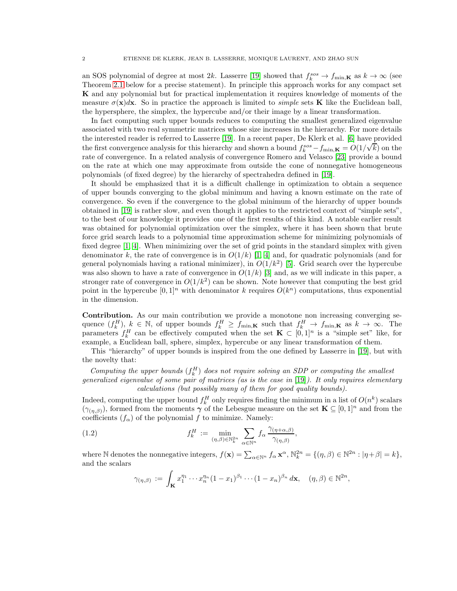an SOS polynomial of degree at most 2k. Lasserre [\[19\]](#page-22-5) showed that  $f_k^{sos} \to f_{\min,K}$  as  $k \to \infty$  (see Theorem [2.1](#page-3-0) below for a precise statement). In principle this approach works for any compact set K and any polynomial but for practical implementation it requires knowledge of moments of the measure  $\sigma(\mathbf{x})d\mathbf{x}$ . So in practice the approach is limited to *simple* sets **K** like the Euclidean ball, the hypersphere, the simplex, the hypercube and/or their image by a linear transformation.

In fact computing such upper bounds reduces to computing the smallest generalized eigenvalue associated with two real symmetric matrices whose size increases in the hierarchy. For more details the interested reader is referred to Lasserre [\[19\]](#page-22-5). In a recent paper, De Klerk et al. [\[6\]](#page-22-6) have provided the first convergence analysis for this hierarchy and shown a bound  $f_k^{sos} - f_{\min,\mathbf{K}} = O(1/\sqrt{k})$  on the rate of convergence. In a related analysis of convergence Romero and Velasco [\[23\]](#page-22-7) provide a bound on the rate at which one may approximate from outside the cone of nonnegative homogeneous polynomials (of fixed degree) by the hierarchy of spectrahedra defined in [\[19\]](#page-22-5).

It should be emphasized that it is a difficult challenge in optimization to obtain a sequence of upper bounds converging to the global minimum and having a known estimate on the rate of convergence. So even if the convergence to the global minimum of the hierarchy of upper bounds obtained in [\[19\]](#page-22-5) is rather slow, and even though it applies to the restricted context of "simple sets", to the best of our knowledge it provides one of the first results of this kind. A notable earlier result was obtained for polynomial optimization over the simplex, where it has been shown that brute force grid search leads to a polynomial time approximation scheme for minimizing polynomials of fixed degree [\[1,](#page-22-8) [4\]](#page-22-9). When minimizing over the set of grid points in the standard simplex with given denominator k, the rate of convergence is in  $O(1/k)$  [\[1,](#page-22-8) [4\]](#page-22-9) and, for quadratic polynomials (and for general polynomials having a rational minimizer), in  $O(1/k^2)$  [\[5\]](#page-22-10). Grid search over the hypercube was also shown to have a rate of convergence in  $O(1/k)$  [\[3\]](#page-22-11) and, as we will indicate in this paper, a stronger rate of convergence in  $O(1/k^2)$  can be shown. Note however that computing the best grid point in the hypercube  $[0,1]^n$  with denominator k requires  $O(k^n)$  computations, thus exponential in the dimension.

Contribution. As our main contribution we provide a monotone non increasing converging sequence  $(f_k^H)$ ,  $k \in \mathbb{N}$ , of upper bounds  $f_k^H \ge f_{\min,K}$  such that  $f_k^H \to f_{\min,K}$  as  $k \to \infty$ . The parameters  $f_k^H$  can be effectively computed when the set  $\mathbf{K} \subset [0,1]^n$  is a "simple set" like, for example, a Euclidean ball, sphere, simplex, hypercube or any linear transformation of them.

This "hierarchy" of upper bounds is inspired from the one defined by Lasserre in [\[19\]](#page-22-5), but with the novelty that:

Computing the upper bounds  $(f_k^H)$  does not require solving an SDP or computing the smallest generalized eigenvalue of some pair of matrices (as is the case in [\[19\]](#page-22-5)). It only requires elementary calculations (but possibly many of them for good quality bounds).

Indeed, computing the upper bound  $f_k^H$  only requires finding the minimum in a list of  $O(n^k)$  scalars  $(\gamma_{(\eta,\beta)})$ , formed from the moments  $\gamma$  of the Lebesgue measure on the set  $\mathbf{K} \subseteq [0,1]^n$  and from the coefficients  $(f_{\alpha})$  of the polynomial f to minimize. Namely:

(1.2) 
$$
f_k^H := \min_{(\eta,\beta)\in\mathbb{N}_k^{2n}} \sum_{\alpha\in\mathbb{N}^n} f_\alpha \frac{\gamma_{(\eta+\alpha,\beta)}}{\gamma_{(\eta,\beta)}},
$$

where N denotes the nonnegative integers,  $f(\mathbf{x}) = \sum_{\alpha \in \mathbb{N}^n} f_\alpha \mathbf{x}^\alpha$ ,  $\mathbb{N}_k^{2n} = \{ (\eta, \beta) \in \mathbb{N}^{2n} : |\eta + \beta| = k \},$ and the scalars

<span id="page-1-0"></span>
$$
\gamma_{(\eta,\beta)} := \int_{\mathbf{K}} x_1^{\eta_1} \cdots x_n^{\eta_n} (1-x_1)^{\beta_1} \cdots (1-x_n)^{\beta_n} d\mathbf{x}, \quad (\eta,\beta) \in \mathbb{N}^{2n}
$$

,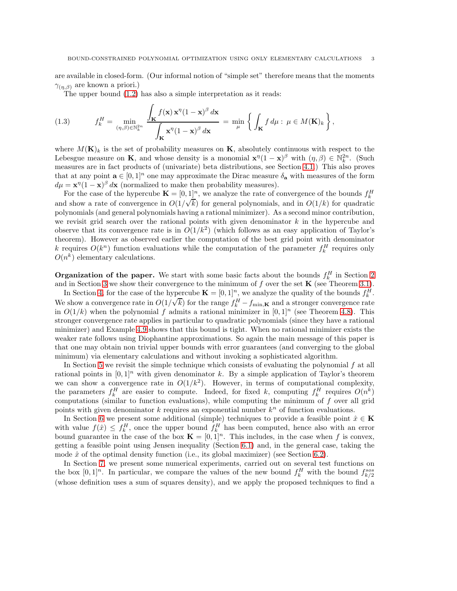are available in closed-form. (Our informal notion of "simple set" therefore means that the moments  $\gamma_{(n, \beta)}$  are known a priori.)

The upper bound [\(1.2\)](#page-1-0) has also a simple interpretation as it reads:

(1.3) 
$$
f_k^H = \min_{(\eta,\beta)\in\mathbb{N}_k^{2n}} \frac{\int_{\mathbf{K}} f(\mathbf{x}) \mathbf{x}^\eta (1-\mathbf{x})^\beta d\mathbf{x}}{\int_{\mathbf{K}} \mathbf{x}^\eta (1-\mathbf{x})^\beta d\mathbf{x}} = \min_{\mu} \left\{ \int_{\mathbf{K}} f d\mu : \mu \in M(\mathbf{K})_k \right\},
$$

where  $M(\mathbf{K})_k$  is the set of probability measures on **K**, absolutely continuous with respect to the Lebesgue measure on **K**, and whose density is a monomial  $\mathbf{x}^{\eta}(1-\mathbf{x})^{\beta}$  with  $(\eta,\beta) \in \mathbb{N}_{k}^{2n}$ . (Such measures are in fact products of (univariate) beta distributions, see Section [4.1.](#page-7-0)) This also proves that at any point  $\mathbf{a} \in [0,1]^n$  one may approximate the Dirac measure  $\delta_{\mathbf{a}}$  with measures of the form  $d\mu = \mathbf{x}^{\eta} (1 - \mathbf{x})^{\beta} d\mathbf{x}$  (normalized to make then probability measures).

For the case of the hypercube  $\mathbf{K} = [0, 1]^n$ , we analyze the rate of convergence of the bounds  $f_k^H$ and show a rate of convergence in  $O(1/\sqrt{k})$  for general polynomials, and in  $O(1/k)$  for quadratic polynomials (and general polynomials having a rational minimizer). As a second minor contribution, we revisit grid search over the rational points with given denominator  $k$  in the hypercube and observe that its convergence rate is in  $O(1/k^2)$  (which follows as an easy application of Taylor's theorem). However as observed earlier the computation of the best grid point with denominator k requires  $O(k^n)$  function evaluations while the computation of the parameter  $f_k^H$  requires only  $O(n^k)$  elementary calculations.

**Organization of the paper.** We start with some basic facts about the bounds  $f_k^H$  in Section [2](#page-3-1) and in Section [3](#page-5-0) we show their convergence to the minimum of  $f$  over the set  $\mathbf K$  (see Theorem [3.1\)](#page-5-1).

In Section [4,](#page-6-0) for the case of the hypercube  $\mathbf{K} = [0,1]^n$ , we analyze the quality of the bounds  $f_k^H$ . We show a convergence rate in  $O(1/\sqrt{k})$  for the range  $f_k^H - f_{\min,K}$  and a stronger convergence rate in  $O(1/k)$  when the polynomial f admits a rational minimizer in  $[0, 1]^n$  (see Theorem [4.8\)](#page-11-0). This stronger convergence rate applies in particular to quadratic polynomials (since they have a rational minimizer) and Example [4.9](#page-12-0) shows that this bound is tight. When no rational minimizer exists the weaker rate follows using Diophantine approximations. So again the main message of this paper is that one may obtain non trivial upper bounds with error guarantees (and converging to the global minimum) via elementary calculations and without invoking a sophisticated algorithm.

In Section [5](#page-12-1) we revisit the simple technique which consists of evaluating the polynomial  $f$  at all rational points in  $[0, 1]^n$  with given denominator k. By a simple application of Taylor's theorem we can show a convergence rate in  $O(1/k^2)$ . However, in terms of computational complexity, the parameters  $f_k^H$  are easier to compute. Indeed, for fixed k, computing  $f_k^H$  requires  $O(n^k)$ computations (similar to function evaluations), while computing the minimum of  $f$  over all grid points with given denominator  $k$  requires an exponential number  $k^n$  of function evaluations.

In Section [6](#page-13-0) we present some additional (simple) techniques to provide a feasible point  $\hat{x} \in \mathbf{K}$ with value  $f(\hat{x}) \leq f_k^H$ , once the upper bound  $f_k^H$  has been computed, hence also with an error bound guarantee in the case of the box  $\mathbf{K} = [0,1]^n$ . This includes, in the case when f is convex, getting a feasible point using Jensen inequality (Section [6.1\)](#page-13-1) and, in the general case, taking the mode  $\hat{x}$  of the optimal density function (i.e., its global maximizer) (see Section [6.2\)](#page-14-0).

In Section [7,](#page-14-1) we present some numerical experiments, carried out on several test functions on the box  $[0,1]^n$ . In particular, we compare the values of the new bound  $f_k^H$  with the bound  $f_{k/2}^{sos}$ (whose definition uses a sum of squares density), and we apply the proposed techniques to find a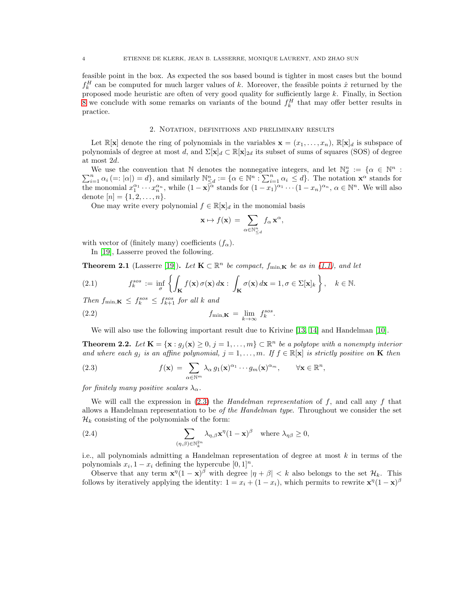feasible point in the box. As expected the sos based bound is tighter in most cases but the bound  $f_k^H$  can be computed for much larger values of k. Moreover, the feasible points  $\hat{x}$  returned by the proposed mode heuristic are often of very good quality for sufficiently large  $k$ . Finally, in Section [8](#page-18-0) we conclude with some remarks on variants of the bound  $f_k^H$  that may offer better results in practice.

#### 2. Notation, definitions and preliminary results

<span id="page-3-1"></span>Let  $\mathbb{R}[\mathbf{x}]$  denote the ring of polynomials in the variables  $\mathbf{x} = (x_1, \ldots, x_n)$ ,  $\mathbb{R}[\mathbf{x}]_d$  is subspace of polynomials of degree at most d, and  $\Sigma[\mathbf{x}]_d \subset \mathbb{R}[\mathbf{x}]_{2d}$  its subset of sums of squares (SOS) of degree at most 2d.

We use the convention that N denotes the nonnegative integers, and let  $\mathbb{N}_d^n := \{ \alpha \in \mathbb{N}^n \mid \alpha \in \mathbb{N}^n \}$ We use the convention that N denotes the nonnegative integers, and let  $\mathbb{N}_d^n := \{ \alpha \in \mathbb{N}^n : \sum_{i=1}^n \alpha_i \leq d \}$ . The notation  $\mathbf{x}^\alpha$  stands for  $\sum_{i=1}^n \alpha_i \leq d$ . The notation  $\mathbf{x}^\alpha$  stands for the monomial  $x_1^{\alpha_1} \cdots x_n^{\alpha_n}$ , while  $(1 - \mathbf{x})^{\alpha}$  stands for  $(1 - x_1)^{\alpha_1} \cdots (1 - x_n)^{\alpha_n}$ ,  $\alpha \in \mathbb{N}^n$ . We will also denote  $[n] = \{1, 2, ..., n\}.$ 

One may write every polynomial  $f \in \mathbb{R}[\mathbf{x}]_d$  in the monomial basis

$$
\mathbf{x} \mapsto f(\mathbf{x}) \, = \, \sum_{\alpha \in \mathbb{N}_{\leq d}^n} f_\alpha \, \mathbf{x}^\alpha,
$$

with vector of (finitely many) coefficients  $(f_{\alpha})$ .

In [\[19\]](#page-22-5), Lasserre proved the following.

<span id="page-3-0"></span>**Theorem 2.1** (Lasserre [\[19\]](#page-22-5)). Let  $\mathbf{K} \subset \mathbb{R}^n$  be compact,  $f_{\min,\mathbf{K}}$  be as in [\(1.1\)](#page-0-0), and let

<span id="page-3-3"></span>(2.1) 
$$
f_k^{sos} := \inf_{\sigma} \left\{ \int_{\mathbf{K}} f(\mathbf{x}) \, \sigma(\mathbf{x}) \, d\mathbf{x} : \int_{\mathbf{K}} \sigma(\mathbf{x}) \, d\mathbf{x} = 1, \sigma \in \Sigma[\mathbf{x}]_k \right\}, \quad k \in \mathbb{N}.
$$

Then  $f_{\min,\mathbf{K}} \leq f_k^{sos} \leq f_{k+1}^{sos}$  for all k and

(2.2) 
$$
f_{\min, \mathbf{K}} = \lim_{k \to \infty} f_k^{sos}
$$

We will also use the following important result due to Krivine [\[13,](#page-22-12) [14\]](#page-22-13) and Handelman [\[10\]](#page-22-14).

.

<span id="page-3-4"></span>**Theorem 2.2.** Let  $\mathbf{K} = {\mathbf{x} : g_j(\mathbf{x}) \geq 0, j = 1, ..., m} \subset \mathbb{R}^n$  be a polytope with a nonempty interior and where each  $g_j$  is an affine polynomial,  $j = 1, \ldots, m$ . If  $f \in \mathbb{R}[\mathbf{x}]$  is strictly positive on **K** then

<span id="page-3-2"></span>(2.3) 
$$
f(\mathbf{x}) = \sum_{\alpha \in \mathbb{N}^m} \lambda_{\alpha} g_1(\mathbf{x})^{\alpha_1} \cdots g_m(\mathbf{x})^{\alpha_m}, \qquad \forall \mathbf{x} \in \mathbb{R}^n,
$$

for finitely many positive scalars  $\lambda_{\alpha}$ .

We will call the expression in  $(2.3)$  the *Handelman representation* of f, and call any f that allows a Handelman representation to be *of the Handelman type*. Throughout we consider the set  $\mathcal{H}_k$  consisting of the polynomials of the form:

(2.4) 
$$
\sum_{(\eta,\beta)\in\mathbb{N}_k^{2n}} \lambda_{\eta,\beta} \mathbf{x}^{\eta} (1-\mathbf{x})^{\beta} \text{ where } \lambda_{\eta\beta} \ge 0,
$$

i.e., all polynomials admitting a Handelman representation of degree at most  $k$  in terms of the polynomials  $x_i, 1-x_i$  defining the hypercube  $[0, 1]^n$ .

Observe that any term  $\mathbf{x}^{\eta} (1 - \mathbf{x})^{\beta}$  with degree  $|\eta + \beta| < k$  also belongs to the set  $\mathcal{H}_k$ . This follows by iteratively applying the identity:  $1 = x_i + (1 - x_i)$ , which permits to rewrite  $\mathbf{x}^{\eta} (1 - \mathbf{x})^{\beta}$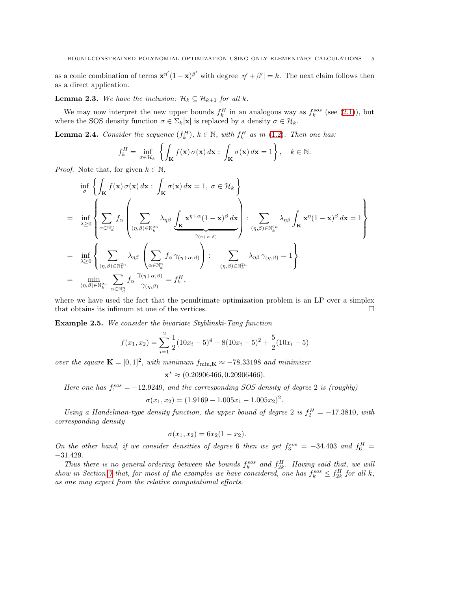as a conic combination of terms  $\mathbf{x}^{\eta'}(1-\mathbf{x})^{\beta'}$  with degree  $|\eta'+\beta'|=k$ . The next claim follows then as a direct application.

<span id="page-4-1"></span>**Lemma 2.3.** We have the inclusion:  $\mathcal{H}_k \subseteq \mathcal{H}_{k+1}$  for all k.

We may now interpret the new upper bounds  $f_k^H$  in an analogous way as  $f_k^{sos}$  (see [\(2.1\)](#page-3-3)), but where the SOS density function  $\sigma \in \Sigma_k[\mathbf{x}]$  is replaced by a density  $\sigma \in \mathcal{H}_k$ .

<span id="page-4-0"></span>**Lemma 2.4.** Consider the sequence  $(f_k^H)$ ,  $k \in \mathbb{N}$ , with  $f_k^H$  as in [\(1.2\)](#page-1-0). Then one has:

$$
f_k^H = \inf_{\sigma \in \mathcal{H}_k} \left\{ \int_{\mathbf{K}} f(\mathbf{x}) \, \sigma(\mathbf{x}) \, d\mathbf{x} : \int_{\mathbf{K}} \sigma(\mathbf{x}) \, d\mathbf{x} = 1 \right\}, \quad k \in \mathbb{N}.
$$

*Proof.* Note that, for given  $k \in \mathbb{N}$ ,

$$
\inf_{\sigma} \left\{ \int_{\mathbf{K}} f(\mathbf{x}) \, \sigma(\mathbf{x}) \, d\mathbf{x} : \int_{\mathbf{K}} \sigma(\mathbf{x}) \, d\mathbf{x} = 1, \ \sigma \in \mathcal{H}_k \right\}
$$
\n
$$
= \inf_{\lambda \geq 0} \left\{ \sum_{\alpha \in \mathbb{N}_d^n} f_{\alpha} \left( \sum_{(\eta, \beta) \in \mathbb{N}_k^{2n}} \lambda_{\eta\beta} \underbrace{\int_{\mathbf{K}} \mathbf{x}^{\eta+\alpha} (1-\mathbf{x})^{\beta} \, d\mathbf{x}}_{\gamma_{(\eta+\alpha,\beta)}} \right) : \sum_{(\eta, \beta) \in \mathbb{N}_k^{2n}} \lambda_{\eta\beta} \int_{\mathbf{K}} \mathbf{x}^{\eta} (1-\mathbf{x})^{\beta} \, d\mathbf{x} = 1 \right\}
$$
\n
$$
= \inf_{\lambda \geq 0} \left\{ \sum_{(\eta, \beta) \in \mathbb{N}_k^{2n}} \lambda_{\eta\beta} \left( \sum_{\alpha \in \mathbb{N}_d^n} f_{\alpha} \gamma_{(\eta+\alpha,\beta)} \right) : \sum_{(\eta, \beta) \in \mathbb{N}_k^{2n}} \lambda_{\eta\beta} \gamma_{(\eta,\beta)} = 1 \right\}
$$
\n
$$
= \min_{(\eta, \beta) \in \mathbb{N}_k^{2n}} \sum_{\alpha \in \mathbb{N}_d^n} f_{\alpha} \frac{\gamma_{(\eta+\alpha,\beta)}}{\gamma_{(\eta,\beta)}} = f_{\kappa}^H,
$$

where we have used the fact that the penultimate optimization problem is an LP over a simplex that obtains its infimum at one of the vertices.

<span id="page-4-2"></span>Example 2.5. We consider the bivariate Styblinski-Tang function

$$
f(x_1, x_2) = \sum_{i=1}^{2} \frac{1}{2} (10x_i - 5)^4 - 8(10x_i - 5)^2 + \frac{5}{2} (10x_i - 5)
$$

over the square  $\mathbf{K} = [0, 1]^2$ , with minimum  $f_{\min, \mathbf{K}} \approx -78.33198$  and minimizer

$$
\mathbf{x}^* \approx (0.20906466, 0.20906466).
$$

Here one has  $f_1^{sos} = -12.9249$ , and the corresponding SOS density of degree 2 is (roughly)

$$
\sigma(x_1, x_2) = (1.9169 - 1.005x_1 - 1.005x_2)^2.
$$

Using a Handelman-type density function, the upper bound of degree 2 is  $f_2^H = -17.3810$ , with corresponding density

$$
\sigma(x_1, x_2) = 6x_2(1 - x_2).
$$

On the other hand, if we consider densities of degree 6 then we get  $f_3^{sos} = -34.403$  and  $f_6^H =$ −31.429.

Thus there is no general ordering between the bounds  $f_k^{sos}$  and  $f_{2k}^H$ . Having said that, we will show in Section [7](#page-14-1) that, for most of the examples we have considered, one has  $f_k^{sos} \leq f_{2k}^H$  for all k, as one may expect from the relative computational efforts.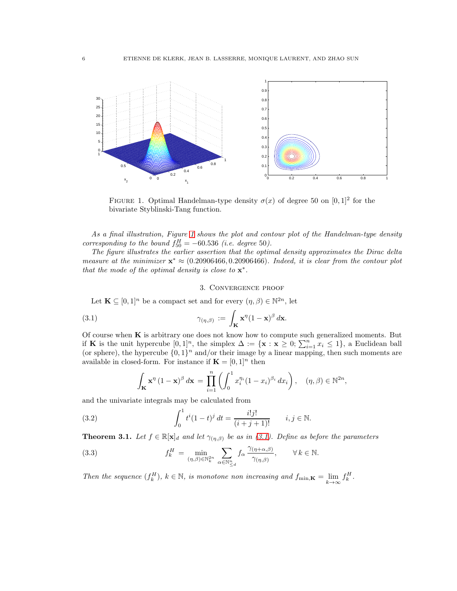<span id="page-5-2"></span>

FIGURE 1. Optimal Handelman-type density  $\sigma(x)$  of degree 50 on  $[0,1]^2$  for the bivariate Styblinski-Tang function.

As a final illustration, Figure [1](#page-5-2) shows the plot and contour plot of the Handelman-type density corresponding to the bound  $f_{50}^H = -60.536$  (i.e. degree 50).

The figure illustrates the earlier assertion that the optimal density approximates the Dirac delta measure at the minimizer  $\mathbf{x}^* \approx (0.20906466, 0.20906466)$ . Indeed, it is clear from the contour plot that the mode of the optimal density is close to  $\mathbf{x}^*$ .

### <span id="page-5-3"></span>3. Convergence proof

<span id="page-5-0"></span>Let  $\mathbf{K} \subseteq [0,1]^n$  be a compact set and for every  $(\eta, \beta) \in \mathbb{N}^{2n}$ , let

(3.1) 
$$
\gamma_{(\eta,\beta)} := \int_{\mathbf{K}} \mathbf{x}^{\eta} (1-\mathbf{x})^{\beta} d\mathbf{x}.
$$

Of course when  $K$  is arbitrary one does not know how to compute such generalized moments. But if K is the unit hypercube  $[0,1]^n$ , the simplex  $\Delta := {\mathbf{x} : \mathbf{x} \geq 0; \sum_{i=1}^n x_i \leq 1}$ , a Euclidean ball (or sphere), the hypercube  $\{0,1\}^n$  and/or their image by a linear mapping, then such moments are available in closed-form. For instance if  $\mathbf{K} = [0, 1]^n$  then

<span id="page-5-5"></span><span id="page-5-4"></span>
$$
\int_{\mathbf{K}} \mathbf{x}^{\eta} (1 - \mathbf{x})^{\beta} d\mathbf{x} = \prod_{i=1}^{n} \left( \int_0^1 x_i^{\eta_i} (1 - x_i)^{\beta_i} dx_i \right), \quad (\eta, \beta) \in \mathbb{N}^{2n},
$$

and the univariate integrals may be calculated from

(3.2) 
$$
\int_0^1 t^i (1-t)^j dt = \frac{i! j!}{(i+j+1)!} \qquad i, j \in \mathbb{N}.
$$

<span id="page-5-1"></span>**Theorem 3.1.** Let  $f \in \mathbb{R}[\mathbf{x}]_d$  and let  $\gamma_{(\eta,\beta)}$  be as in [\(3.1\)](#page-5-3). Define as before the parameters

(3.3) 
$$
f_k^H = \min_{(\eta,\beta)\in\mathbb{N}_k^{2n}} \sum_{\alpha\in\mathbb{N}_{\leq d}^n} f_\alpha \frac{\gamma_{(\eta+\alpha,\beta)}}{\gamma_{(\eta,\beta)}}, \qquad \forall k \in \mathbb{N}.
$$

Then the sequence  $(f_k^H)$ ,  $k \in \mathbb{N}$ , is monotone non increasing and  $f_{\min,\mathbf{K}} = \lim_{k \to \infty}$  $f_k^H$  .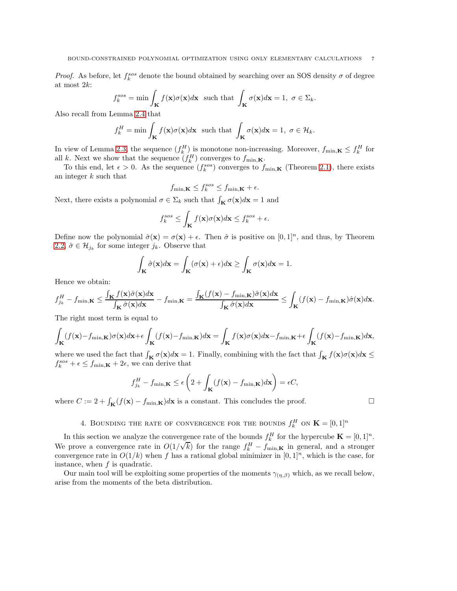*Proof.* As before, let  $f_k^{sos}$  denote the bound obtained by searching over an SOS density  $\sigma$  of degree at most 2k:

$$
f_k^{sos} = \min \int_{\mathbf{K}} f(\mathbf{x}) \sigma(\mathbf{x}) d\mathbf{x} \text{ such that } \int_{\mathbf{K}} \sigma(\mathbf{x}) d\mathbf{x} = 1, \ \sigma \in \Sigma_k.
$$

Also recall from Lemma [2.4](#page-4-0) that

$$
f_k^H = \min \int_{\mathbf{K}} f(\mathbf{x}) \sigma(\mathbf{x}) d\mathbf{x} \text{ such that } \int_{\mathbf{K}} \sigma(\mathbf{x}) d\mathbf{x} = 1, \ \sigma \in \mathcal{H}_k.
$$

In view of Lemma [2.3,](#page-4-1) the sequence  $(f_k^H)$  is monotone non-increasing. Moreover,  $f_{\min,K} \leq f_k^H$  for all k. Next we show that the sequence  $(f_k^H)$  converges to  $f_{\min,\mathbf{K}}$ .

To this end, let  $\epsilon > 0$ . As the sequence  $(f_k^{sos})$  converges to  $f_{\min,K}$  (Theorem [2.1\)](#page-3-0), there exists an integer  $k$  such that

$$
f_{\min,\mathbf{K}} \le f_k^{sos} \le f_{\min,\mathbf{K}} + \epsilon.
$$

Next, there exists a polynomial  $\sigma \in \Sigma_k$  such that  $\int_{\mathbf{K}} \sigma(\mathbf{x}) d\mathbf{x} = 1$  and

$$
f_k^{sos} \le \int_{\mathbf{K}} f(\mathbf{x}) \sigma(\mathbf{x}) d\mathbf{x} \le f_k^{sos} + \epsilon.
$$

Define now the polynomial  $\hat{\sigma}(\mathbf{x}) = \sigma(\mathbf{x}) + \epsilon$ . Then  $\hat{\sigma}$  is positive on  $[0,1]^n$ , and thus, by Theorem [2.2,](#page-3-4)  $\hat{\sigma} \in \mathcal{H}_{j_k}$  for some integer  $j_k$ . Observe that

$$
\int_{\mathbf{K}} \hat{\sigma}(\mathbf{x}) d\mathbf{x} = \int_{\mathbf{K}} (\sigma(\mathbf{x}) + \epsilon) d\mathbf{x} \ge \int_{\mathbf{K}} \sigma(\mathbf{x}) d\mathbf{x} = 1.
$$

Hence we obtain:

$$
f_{j_{k}}^{H} - f_{\min,\mathbf{K}} \leq \frac{\int_{\mathbf{K}} f(\mathbf{x}) \hat{\sigma}(\mathbf{x}) d\mathbf{x}}{\int_{\mathbf{K}} \hat{\sigma}(\mathbf{x}) d\mathbf{x}} - f_{\min,\mathbf{K}} = \frac{\int_{\mathbf{K}} (f(\mathbf{x}) - f_{\min,\mathbf{K}}) \hat{\sigma}(\mathbf{x}) d\mathbf{x}}{\int_{\mathbf{K}} \hat{\sigma}(\mathbf{x}) d\mathbf{x}} \leq \int_{\mathbf{K}} (f(\mathbf{x}) - f_{\min,\mathbf{K}}) \hat{\sigma}(\mathbf{x}) d\mathbf{x}.
$$

The right most term is equal to

$$
\int_{\mathbf{K}} (f(\mathbf{x}) - f_{\min,\mathbf{K}}) \sigma(\mathbf{x}) d\mathbf{x} + \epsilon \int_{\mathbf{K}} (f(\mathbf{x}) - f_{\min,\mathbf{K}}) d\mathbf{x} = \int_{\mathbf{K}} f(\mathbf{x}) \sigma(\mathbf{x}) d\mathbf{x} - f_{\min,\mathbf{K}} + \epsilon \int_{\mathbf{K}} (f(\mathbf{x}) - f_{\min,\mathbf{K}}) d\mathbf{x},
$$

where we used the fact that  $\int_{\mathbf{K}} \sigma(\mathbf{x}) d\mathbf{x} = 1$ . Finally, combining with the fact that  $\int_{\mathbf{K}} f(\mathbf{x}) \sigma(\mathbf{x}) d\mathbf{x} \leq$  $f_k^{sos} + \epsilon \leq f_{\min,\mathbf{K}} + 2\epsilon$ , we can derive that

$$
f_{j_k}^H - f_{\min,\mathbf{K}} \le \epsilon \left( 2 + \int_{\mathbf{K}} (f(\mathbf{x}) - f_{\min,\mathbf{K}}) d\mathbf{x} \right) = \epsilon C,
$$

<span id="page-6-0"></span>where  $C := 2 + \int_{\mathbf{K}} (f(\mathbf{x}) - f_{\min,\mathbf{K}}) d\mathbf{x}$  is a constant. This concludes the proof.

# 4. BOUNDING THE RATE OF CONVERGENCE FOR THE BOUNDS  $f_k^H$  on  $\mathbf{K} = [0, 1]^n$

In this section we analyze the convergence rate of the bounds  $f_k^H$  for the hypercube  $\mathbf{K} = [0,1]^n$ . We prove a convergence rate in  $O(1/\sqrt{k})$  for the range  $f_k^H - f_{\min,K}$  in general, and a stronger convergence rate in  $O(1/k)$  when f has a rational global minimizer in  $[0, 1]^n$ , which is the case, for instance, when  $f$  is quadratic.

Our main tool will be exploiting some properties of the moments  $\gamma_{(n, \beta)}$  which, as we recall below, arise from the moments of the beta distribution.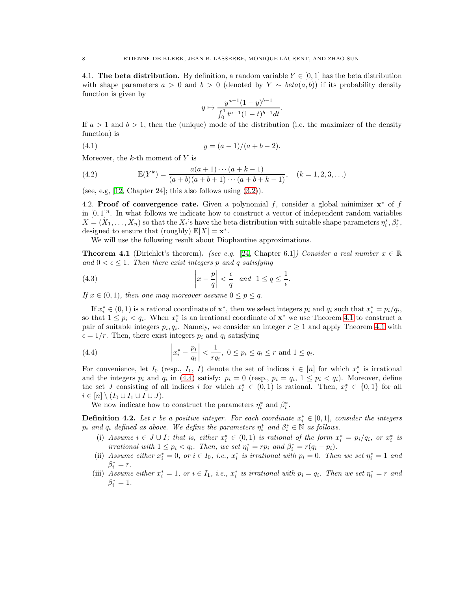<span id="page-7-0"></span>4.1. The beta distribution. By definition, a random variable  $Y \in [0,1]$  has the beta distribution with shape parameters  $a > 0$  and  $b > 0$  (denoted by  $Y \sim beta(a, b)$ ) if its probability density function is given by

<span id="page-7-5"></span>
$$
y \mapsto \frac{y^{a-1}(1-y)^{b-1}}{\int_0^1 t^{a-1}(1-t)^{b-1}dt}.
$$

If  $a > 1$  and  $b > 1$ , then the (unique) mode of the distribution (i.e. the maximizer of the density function) is

(4.1) 
$$
y = (a-1)/(a+b-2).
$$

Moreover, the  $k$ -th moment of  $Y$  is

<span id="page-7-3"></span>(4.2) 
$$
\mathbb{E}(Y^k) = \frac{a(a+1)\cdots(a+k-1)}{(a+b)(a+b+1)\cdots(a+b+k-1)}, \quad (k = 1, 2, 3, \ldots)
$$

(see, e.g,  $[12, Chapter 24]$ ; this also follows using  $(3.2)$ ).

4.2. Proof of convergence rate. Given a polynomial f, consider a global minimizer  $x^*$  of f in  $[0, 1]^n$ . In what follows we indicate how to construct a vector of independent random variables  $X = (X_1, \ldots, X_n)$  so that the  $X_i$ 's have the beta distribution with suitable shape parameters  $\eta_i^*, \beta_i^*,$ designed to ensure that (roughly)  $\mathbb{E}[X] = \mathbf{x}^*$ .

We will use the following result about Diophantine approximations.

<span id="page-7-1"></span>**Theorem 4.1** (Dirichlet's theorem). (see e.g. [\[24,](#page-22-16) Chapter 6.1]) Consider a real number  $x \in \mathbb{R}$ and  $0 < \epsilon \leq 1$ . Then there exist integers p and q satisfying

(4.3) 
$$
\left| x - \frac{p}{q} \right| < \frac{\epsilon}{q} \quad \text{and} \quad 1 \le q \le \frac{1}{\epsilon}.
$$

If  $x \in (0, 1)$ , then one may moreover assume  $0 \le p \le q$ .

If  $x_i^* \in (0,1)$  is a rational coordinate of  $\mathbf{x}^*$ , then we select integers  $p_i$  and  $q_i$  such that  $x_i^* = p_i/q_i$ , so that  $1 \leq p_i < q_i$ . When  $x_i^*$  is an irrational coordinate of  $\mathbf{x}^*$  we use Theorem [4.1](#page-7-1) to construct a pair of suitable integers  $p_i, q_i$ . Namely, we consider an integer  $r \ge 1$  and apply Theorem [4.1](#page-7-1) with  $\epsilon = 1/r$ . Then, there exist integers  $p_i$  and  $q_i$  satisfying

<span id="page-7-2"></span>(4.4) 
$$
\left| x_i^* - \frac{p_i}{q_i} \right| < \frac{1}{rq_i}, 0 \le p_i \le q_i \le r \text{ and } 1 \le q_i.
$$

For convenience, let  $I_0$  (resp.,  $I_1$ ,  $I$ ) denote the set of indices  $i \in [n]$  for which  $x_i^*$  is irrational and the integers  $p_i$  and  $q_i$  in [\(4.4\)](#page-7-2) satisfy:  $p_i = 0$  (resp.,  $p_i = q_i$ ,  $1 \leq p_i < q_i$ ). Moreover, define the set J consisting of all indices i for which  $x_i^* \in (0,1)$  is rational. Then,  $x_i^* \in \{0,1\}$  for all  $i \in [n] \setminus (I_0 \cup I_1 \cup I \cup J).$ 

We now indicate how to construct the parameters  $\eta_i^*$  and  $\beta_i^*$ .

<span id="page-7-4"></span>**Definition 4.2.** Let r be a positive integer. For each coordinate  $x_i^* \in [0,1]$ , consider the integers  $p_i$  and  $q_i$  defined as above. We define the parameters  $\eta_i^*$  and  $\beta_i^* \in \mathbb{N}$  as follows.

- (i) Assume  $i \in J \cup I$ ; that is, either  $x_i^* \in (0,1)$  is rational of the form  $x_i^* = p_i/q_i$ , or  $x_i^*$  is *irrational with*  $1 \leq p_i < q_i$ . Then, we set  $\eta_i^* = rp_i$  and  $\beta_i^* = r(q_i - p_i)$ .
- (ii) Assume either  $x_i^* = 0$ , or  $i \in I_0$ , i.e.,  $x_i^*$  is irrational with  $p_i = 0$ . Then we set  $\eta_i^* = 1$  and  $\beta_i^* = r.$
- (iii) Assume either  $x_i^* = 1$ , or  $i \in I_1$ , i.e.,  $x_i^*$  is irrational with  $p_i = q_i$ . Then we set  $\eta_i^* = r$  and  $\beta_i^* = 1$ .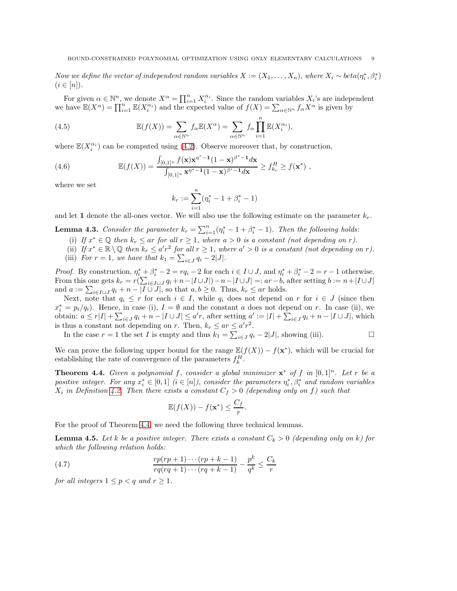Now we define the vector of independent random variables  $X := (X_1, \ldots, X_n)$ , where  $X_i \sim \text{beta}(\eta_i^*, \beta_i^*)$  $(i \in [n])$ .

For given  $\alpha \in \mathbb{N}^n$ , we denote  $X^{\alpha} = \prod_{i=1}^n X_i^{\alpha_i}$ . Since the random variables  $X_i$ 's are independent we have  $\mathbb{E}(X^{\alpha}) = \prod_{i=1}^{n} \mathbb{E}(X_i^{\alpha_i})$  and the expected value of  $f(X) = \sum_{\alpha \in \mathbb{N}^n} f_{\alpha} X^{\alpha}$  is given by

(4.5) 
$$
\mathbb{E}(f(X)) = \sum_{\alpha \in \mathbb{N}^n} f_{\alpha} \mathbb{E}(X^{\alpha}) = \sum_{\alpha \in \mathbb{N}^n} f_{\alpha} \prod_{i=1}^n \mathbb{E}(X_i^{\alpha_i}),
$$

where  $\mathbb{E}(X_i^{\alpha_i})$  can be computed using [\(4.2\)](#page-7-3). Observe moreover that, by construction,

(4.6) 
$$
\mathbb{E}(f(X)) = \frac{\int_{[0,1]^n} f(\mathbf{x}) \mathbf{x}^{\eta^* - 1} (1 - \mathbf{x})^{\beta^* - 1} d\mathbf{x}}{\int_{[0,1]^n} \mathbf{x}^{\eta^* - 1} (1 - \mathbf{x})^{\beta^* - 1} d\mathbf{x}} \ge f_{k_r}^H \ge f(\mathbf{x}^*) ,
$$

where we set

<span id="page-8-5"></span><span id="page-8-3"></span>
$$
k_r := \sum_{i=1}^n (\eta_i^* - 1 + \beta_i^* - 1)
$$

and let 1 denote the all-ones vector. We will also use the following estimate on the parameter  $k_r$ .

<span id="page-8-4"></span>**Lemma 4.3.** Consider the parameter  $k_r = \sum_{i=1}^n (\eta_i^* - 1 + \beta_i^* - 1)$ . Then the following holds:

- (i) If  $x^* \in \mathbb{Q}$  then  $k_r \le ar$  for all  $r \ge 1$ , where  $a > 0$  is a constant (not depending on r).
- (ii) If  $x^* \in \mathbb{R} \setminus \mathbb{Q}$  then  $k_r \leq a'r^2$  for all  $r \geq 1$ , where  $a' > 0$  is a constant (not depending on r).
- (iii) For  $r = 1$ , we have that  $k_1 = \sum_{i \in J} q_i 2|J|$ .

*Proof.* By construction,  $\eta_i^* + \beta_i^* - 2 = rq_i - 2$  for each  $i \in I \cup J$ , and  $\eta_i^* + \beta_i^* - 2 = r - 1$  otherwise. From this one gets  $k_r = r(\sum_{i \in I \cup J} q_i + n - |I \cup J|) - n - |I \cup J| =: ar - b$ , after setting  $b := n + |I \cup J|$ and  $a := \sum_{i \in I \cup J} q_i + n - |I \cup J|$ , so that  $a, b \ge 0$ . Thus,  $k_r \le ar$  holds.

Next, note that  $q_i \leq r$  for each  $i \in I$ , while  $q_i$  does not depend on r for  $i \in J$  (since then  $x_i^* = p_i/q_i$ ). Hence, in case (i),  $I = \emptyset$  and the constant a does not depend on r. In case (ii), we obtain:  $a \leq r|I| + \sum_{i \in J} q_i + n - |I \cup J| \leq a'r$ , after setting  $a' := |I| + \sum_{i \in J} q_i + n - |I \cup J|$ , which is thus a constant not depending on r. Then,  $k_r \le ar \le a'r^2$ .

In the case  $r = 1$  the set *I* is empty and thus  $k_1 = \sum_{i \in J} q_i - 2|J|$ , showing (iii). □

We can prove the following upper bound for the range  $\mathbb{E}(f(X)) - f(\mathbf{x}^*)$ , which will be crucial for establishing the rate of convergence of the parameters  $f_k^H$ .

<span id="page-8-0"></span>**Theorem 4.4.** Given a polynomial f, consider a global minimizer  $x^*$  of f in  $[0,1]^n$ . Let r be a positive integer. For any  $x_i^* \in [0,1]$  ( $i \in [n]$ ), consider the parameters  $\eta_i^*, \beta_i^*$  and random variables  $X_i$  in Definition [4.2.](#page-7-4) Then there exists a constant  $C_f > 0$  (depending only on f) such that

<span id="page-8-1"></span>
$$
\mathbb{E}(f(X)) - f(\mathbf{x}^*) \le \frac{C_f}{r}.
$$

For the proof of Theorem [4.4,](#page-8-0) we need the following three technical lemmas.

<span id="page-8-2"></span>**Lemma 4.5.** Let k be a positive integer. There exists a constant  $C_k > 0$  (depending only on k) for which the following relation holds:

(4.7) 
$$
\frac{rp(rp+1)\cdots(rp+k-1)}{rq(rq+1)\cdots(rq+k-1)} - \frac{p^k}{q^k} \le \frac{C_k}{r}
$$

for all integers  $1 \leq p < q$  and  $r \geq 1$ .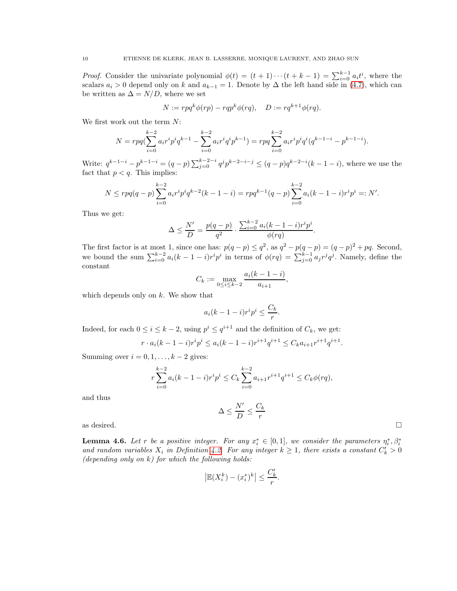*Proof.* Consider the univariate polynomial  $\phi(t) = (t+1)\cdots(t+k-1) = \sum_{i=0}^{k-1} a_i t^i$ , where the scalars  $a_i > 0$  depend only on k and  $a_{k-1} = 1$ . Denote by  $\Delta$  the left hand side in [\(4.7\)](#page-8-1), which can be written as  $\Delta = N/D$ , where we set

$$
N := r p q^k \phi(r p) - r q p^k \phi(r q), \quad D := r q^{k+1} \phi(r q).
$$

We first work out the term N:

$$
N = rp\left(\sum_{i=0}^{k-2} a_i r^i p^i q^{k-1} - \sum_{i=0}^{k-2} a_i r^i q^i p^{k-1}\right) = rp\sum_{i=0}^{k-2} a_i r^i p^i q^i (q^{k-1-i} - p^{k-1-i}).
$$

Write:  $q^{k-1-i} - p^{k-1-i} = (q-p) \sum_{j=0}^{k-2-i} q^j p^{k-2-i-j} \leq (q-p) q^{k-2-i} (k-1-i)$ , where we use the fact that  $p < q$ . This implies:

$$
N \leq r p q (q-p) \sum_{i=0}^{k-2} a_i r^i p^i q^{k-2} (k-1-i) = r p q^{k-1} (q-p) \sum_{i=0}^{k-2} a_i (k-1-i) r^i p^i =: N'.
$$

Thus we get:

$$
\Delta \le \frac{N'}{D} = \frac{p(q-p)}{q^2} \cdot \frac{\sum_{i=0}^{k-2} a_i (k-1-i) r^i p^i}{\phi(rq)}
$$

.

.

The first factor is at most 1, since one has:  $p(q-p) \leq q^2$ , as  $q^2 - p(q-p) = (q-p)^2 + pq$ . Second, we bound the sum  $\sum_{i=0}^{k-2} a_i (k-1-i) r^i p^i$  in terms of  $\phi(rq) = \sum_{j=0}^{k-1} a_j r^j q^j$ . Namely, define the constant

$$
C_k := \max_{0 \le i \le k-2} \frac{a_i(k-1-i)}{a_{i+1}},
$$

which depends only on  $k$ . We show that

$$
a_i(k-1-i)r^ip^i \le \frac{C_k}{r}.
$$

Indeed, for each  $0 \le i \le k-2$ , using  $p^i \le q^{i+1}$  and the definition of  $C_k$ , we get:

$$
r \cdot a_i(k-1-i)r^i p^i \le a_i(k-1-i)r^{i+1}q^{i+1} \le C_k a_{i+1}r^{i+1}q^{i+1}
$$

Summing over  $i = 0, 1, \ldots, k - 2$  gives:

$$
r\sum_{i=0}^{k-2} a_i(k-1-i)r^i p^i \le C_k \sum_{i=0}^{k-2} a_{i+1}r^{i+1} q^{i+1} \le C_k \phi(rq),
$$

and thus

$$
\Delta \le \frac{N'}{D} \le \frac{C_k}{r}
$$

as desired.  $\square$ 

<span id="page-9-0"></span>**Lemma 4.6.** Let r be a positive integer. For any  $x_i^* \in [0,1]$ , we consider the parameters  $\eta_i^*, \beta_i^*$ and random variables  $X_i$  in Definition [4.2.](#page-7-4) For any integer  $k \geq 1$ , there exists a constant  $C'_k > 0$ (depending only on  $k$ ) for which the following holds:

$$
\left|\mathbb{E}(X_i^k)-(x_i^*)^k\right|\leq \frac{C'_k}{r}.
$$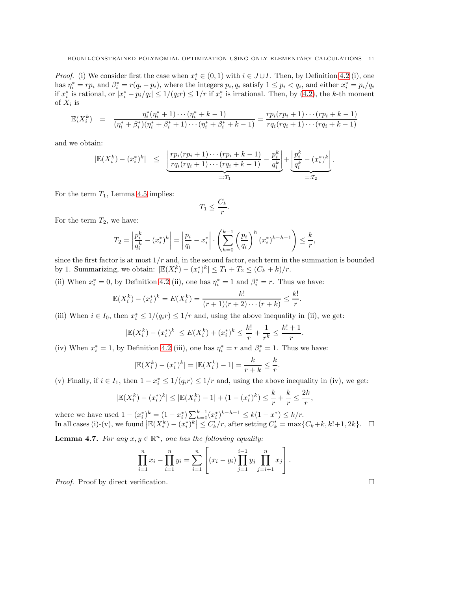*Proof.* (i) We consider first the case when  $x_i^* \in (0,1)$  with  $i \in J \cup I$ . Then, by Definition [4.2](#page-7-4) (i), one has  $\eta_i^* = rp_i$  and  $\beta_i^* = r(q_i - p_i)$ , where the integers  $p_i, q_i$  satisfy  $1 \leq p_i < q_i$ , and either  $x_i^* = p_i/q_i$ if  $x_i^*$  is rational, or  $|x_i^* - p_i/q_i| \leq 1/(q_i r) \leq 1/r$  if  $x_i^*$  is irrational. Then, by [\(4.2\)](#page-7-3), the k-th moment of  $X_i$  is

$$
\mathbb{E}(X_i^k) = \frac{\eta_i^*(\eta_i^* + 1) \cdots (\eta_i^* + k - 1)}{(\eta_i^* + \beta_i^*)(\eta_i^* + \beta_i^* + 1) \cdots (\eta_i^* + \beta_i^* + k - 1)} = \frac{rp_i(rp_i + 1) \cdots (rp_i + k - 1)}{rq_i(rq_i + 1) \cdots (rq_i + k - 1)}
$$

and we obtain:

$$
|\mathbb{E}(X_i^k) - (x_i^*)^k| \leq \underbrace{\left| \frac{rp_i(rp_i+1)\cdots(rp_i+k-1)}{rq_i(rq_i+1)\cdots(rq_i+k-1)} - \frac{p_i^k}{q_i^k} \right|}_{=:T_1} + \underbrace{\left| \frac{p_i^k}{q_i^k} - (x_i^*)^k \right|}_{=:T_2}.
$$

For the term  $T_1$ , Lemma [4.5](#page-8-2) implies:

$$
T_1 \le \frac{C_k}{r}
$$

.

For the term  $T_2$ , we have:

$$
T_2 = \left| \frac{p_i^k}{q_i^k} - (x_i^*)^k \right| = \left| \frac{p_i}{q_i} - x_i^* \right| \cdot \left( \sum_{h=0}^{k-1} \left( \frac{p_i}{q_i} \right)^h (x_i^*)^{k-h-1} \right) \le \frac{k}{r},
$$

since the first factor is at most  $1/r$  and, in the second factor, each term in the summation is bounded by 1. Summarizing, we obtain:  $|\mathbb{E}(X_i^k) - (x_i^*)^k| \le T_1 + T_2 \le (C_k + k)/r$ .

(ii) When  $x_i^* = 0$ , by Definition [4.2](#page-7-4) (ii), one has  $\eta_i^* = 1$  and  $\beta_i^* = r$ . Thus we have:

$$
\mathbb{E}(X_i^k) - (x_i^*)^k = E(X_i^k) = \frac{k!}{(r+1)(r+2)\cdots(r+k)} \leq \frac{k!}{r}.
$$

(iii) When  $i \in I_0$ , then  $x_i^* \leq 1/(q_i r) \leq 1/r$  and, using the above inequality in (ii), we get:

$$
|\mathbb{E}(X_i^k) - (x_i^*)^k| \le E(X_i^k) + (x_i^*)^k \le \frac{k!}{r} + \frac{1}{r^k} \le \frac{k!+1}{r}.
$$

(iv) When  $x_i^* = 1$ , by Definition [4.2](#page-7-4) (iii), one has  $\eta_i^* = r$  and  $\beta_i^* = 1$ . Thus we have:

$$
|\mathbb{E}(X_i^k) - (x_i^*)^k| = |\mathbb{E}(X_i^k) - 1| = \frac{k}{r+k} \le \frac{k}{r}.
$$

(v) Finally, if  $i \in I_1$ , then  $1 - x_i^* \leq 1/(q_i r) \leq 1/r$  and, using the above inequality in (iv), we get:

$$
|\mathbb{E}(X_i^k) - (x_i^*)^k| \le |\mathbb{E}(X_i^k) - 1| + (1 - (x_i^*)^k) \le \frac{k}{r} + \frac{k}{r} \le \frac{2k}{r}
$$

where we have used  $1 - (x_i^*)^k = (1 - x_i^*) \sum_{h=0}^{k-1} (x_i^*)^{k-h-1} \leq k(1 - x^*) \leq k/r$ . In all cases (i)-(v), we found  $\left| \mathbb{E}(X_i^k) - (x_i^*)^k \right| \leq C'_k/r$ , after setting  $C'_k = \max\{C_k + k, k!+1, 2k\}$ .  $\Box$ 

<span id="page-10-0"></span>**Lemma 4.7.** For any  $x, y \in \mathbb{R}^n$ , one has the following equality:

$$
\prod_{i=1}^{n} x_i - \prod_{i=1}^{n} y_i = \sum_{i=1}^{n} \left[ (x_i - y_i) \prod_{j=1}^{i-1} y_j \prod_{j=i+1}^{n} x_j \right].
$$

*Proof.* Proof by direct verification.  $\square$ 

,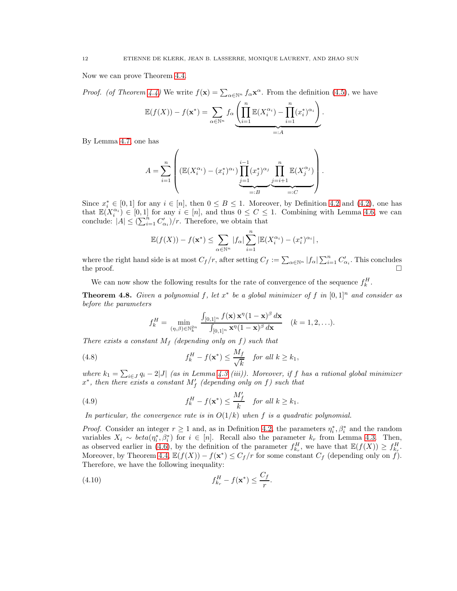Now we can prove Theorem [4.4.](#page-8-0)

*Proof.* (of Theorem [4.4\)](#page-8-0) We write  $f(\mathbf{x}) = \sum_{\alpha \in \mathbb{N}^n} f_{\alpha} \mathbf{x}^{\alpha}$ . From the definition [\(4.5\)](#page-8-3), we have

$$
\mathbb{E}(f(X)) - f(\mathbf{x}^*) = \sum_{\alpha \in \mathbb{N}^n} f_{\alpha} \underbrace{\left(\prod_{i=1}^n \mathbb{E}(X_i^{\alpha_i}) - \prod_{i=1}^n (x_i^*)^{\alpha_i}}_{=:A}\right)}_{=:A}.
$$

By Lemma [4.7,](#page-10-0) one has

$$
A = \sum_{i=1}^{n} \left( (\mathbb{E}(X_i^{\alpha_i}) - (x_i^*)^{\alpha_i}) \prod_{j=1}^{i-1} (x_j^*)^{\alpha_j} \prod_{j=i+1}^{n} \mathbb{E}(X_j^{\alpha_j}) \right)
$$
  
=:B

Since  $x_i^* \in [0,1]$  for any  $i \in [n]$ , then  $0 \leq B \leq 1$ . Moreover, by Definition [4.2](#page-7-4) and [\(4.2\)](#page-7-3), one has that  $\mathbb{E}(X_i^{\alpha_i}) \in [0,1]$  for any  $i \in [n]$ , and thus  $0 \leq C \leq 1$ . Combining with Lemma [4.6,](#page-9-0) we can conclude:  $|A| \leq (\sum_{i=1}^n C'_{\alpha_i})/r$ . Therefore, we obtain that

.

$$
\mathbb{E}(f(X)) - f(\mathbf{x}^*) \leq \sum_{\alpha \in \mathbb{N}^n} |f_{\alpha}| \sum_{i=1}^n |\mathbb{E}(X_i^{\alpha_i}) - (x_i^*)^{\alpha_i}|,
$$

where the right hand side is at most  $C_f/r$ , after setting  $C_f := \sum_{\alpha \in \mathbb{N}^n} |f_\alpha| \sum_{i=1}^n C'_{\alpha_i}$ . This concludes the proof.  $\Box$ 

We can now show the following results for the rate of convergence of the sequence  $f_k^H$ .

<span id="page-11-0"></span>**Theorem 4.8.** Given a polynomial f, let  $x^*$  be a global minimizer of f in  $[0,1]^n$  and consider as before the parameters

<span id="page-11-3"></span><span id="page-11-2"></span>
$$
f_k^H = \min_{(\eta,\beta)\in\mathbb{N}_k^{2n}} \frac{\int_{[0,1]^n} f(\mathbf{x}) \mathbf{x}^\eta (1-\mathbf{x})^\beta d\mathbf{x}}{\int_{[0,1]^n} \mathbf{x}^\eta (1-\mathbf{x})^\beta d\mathbf{x}} \quad (k=1,2,\ldots).
$$

There exists a constant  $M_f$  (depending only on f) such that

(4.8) 
$$
f_k^H - f(\mathbf{x}^*) \le \frac{M_f}{\sqrt{k}} \quad \text{for all } k \ge k_1,
$$

where  $k_1 = \sum_{i \in J} q_i - 2|J|$  (as in Lemma [4.3](#page-8-4) (iii)). Moreover, if f has a rational global minimizer  $x^*$ , then there exists a constant  $M'_f$  (depending only on f) such that

(4.9) 
$$
f_k^H - f(\mathbf{x}^*) \le \frac{M'_f}{k} \quad \text{for all } k \ge k_1.
$$

In particular, the convergence rate is in  $O(1/k)$  when f is a quadratic polynomial.

*Proof.* Consider an integer  $r \ge 1$  and, as in Definition [4.2,](#page-7-4) the parameters  $\eta_i^*, \beta_i^*$  and the random variables  $X_i \sim \text{beta}(\eta_i^*, \beta_i^*)$  for  $i \in [n]$ . Recall also the parameter  $k_r$  from Lemma [4.3.](#page-8-4) Then, as observed earlier in [\(4.6\)](#page-8-5), by the definition of the parameter  $f_{k_r}^H$ , we have that  $\mathbb{E}(f(X)) \ge f_{k_r}^H$ . Moreover, by Theorem [4.4,](#page-8-0)  $\mathbb{E}(f(X)) - f(\mathbf{x}^*) \leq C_f/r$  for some constant  $C_f$  (depending only on f). Therefore, we have the following inequality:

<span id="page-11-1"></span>
$$
(4.10) \t\t f_{k_r}^H - f(\mathbf{x}^*) \le \frac{C_f}{r}.
$$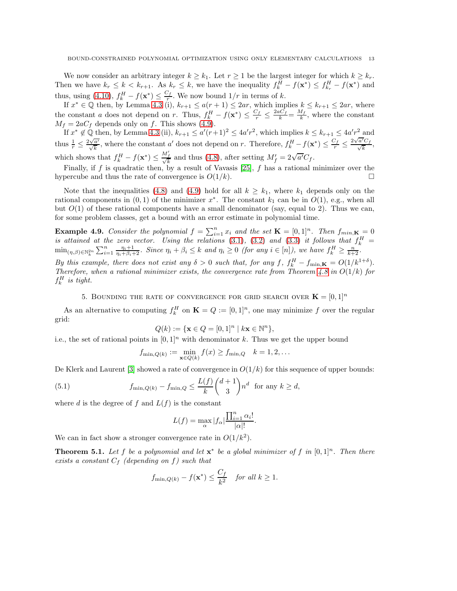We now consider an arbitrary integer  $k \geq k_1$ . Let  $r \geq 1$  be the largest integer for which  $k \geq k_r$ . Then we have  $k_r \leq k < k_{r+1}$ . As  $k_r \leq k$ , we have the inequality  $f_k^H - f(\mathbf{x}^*) \leq f_{k_r}^H - f(\mathbf{x}^*)$  and thus, using [\(4.10\)](#page-11-1),  $f_k^H - f(\mathbf{x}^*) \leq \frac{C_f}{r}$  $\frac{df}{r}$ . We now bound  $1/r$  in terms of k.

If  $x^* \in \mathbb{Q}$  then, by Lemma [4.3](#page-8-4) (i),  $k_{r+1} \le a(r+1) \le 2ar$ , which implies  $k \le k_{r+1} \le 2ar$ , where the constant a does not depend on r. Thus,  $f_k^H - f(\mathbf{x}^*) \le \frac{C_f}{r} \le \frac{2aC_f}{k} = \frac{M_f}{k}$  $\frac{df}{k}$ , where the constant  $M_f = 2aC_f$  depends only on f. This shows [\(4.9\)](#page-11-2).

If  $x^* \notin \mathbb{Q}$  then, by Lemma [4.3](#page-8-4) (ii),  $k_{r+1} \leq a'(r+1)^2 \leq 4a'r^2$ , which implies  $k \leq k_{r+1} \leq 4a'r^2$  and thus  $\frac{1}{r} \leq \frac{2\sqrt{a'}}{\sqrt{k}}$ , where the constant a' does not depend on r. Therefore,  $f_k^H - f(\mathbf{x}^*) \leq \frac{C_f}{r} \leq \frac{2\sqrt{a'}}{r}$  $\sqrt{\frac{a'C_f}{b}}$  $\frac{\sum f}{k},$ which shows that  $f_k^H - f(\mathbf{x}^*) \leq \frac{M'_f}{\sqrt{k}}$  and thus [\(4.8\)](#page-11-3), after setting  $M'_f = 2\sqrt{a'}C_f$ .

Finally, if f is quadratic then, by a result of Vavasis  $[25]$ , f has a rational minimizer over the hypercube and thus the rate of convergence is  $O(1/k)$ .

Note that the inequalities [\(4.8\)](#page-11-3) and [\(4.9\)](#page-11-2) hold for all  $k \geq k_1$ , where  $k_1$  depends only on the rational components in  $(0, 1)$  of the minimizer  $x^*$ . The constant  $k_1$  can be in  $O(1)$ , e.g., when all but  $O(1)$  of these rational components have a small denominator (say, equal to 2). Thus we can, for some problem classes, get a bound with an error estimate in polynomial time.

<span id="page-12-0"></span>**Example 4.9.** Consider the polynomial  $f = \sum_{i=1}^{n} x_i$  and the set  $\mathbf{K} = [0, 1]^n$ . Then  $f_{min, \mathbf{K}} = 0$ is attained at the zero vector. Using the relations [\(3.1\)](#page-5-3), [\(3.2\)](#page-5-4) and [\(3.3\)](#page-5-5) it follows that  $f_k^H$  =  $\min_{(\eta,\beta)\in\mathbb{N}_{k}^{2n}}\sum_{i=1}^{n}\frac{\eta_{i}+1}{\eta_{i}+\beta_{i}+2}$ . Since  $\eta_{i}+\beta_{i}\leq k$  and  $\eta_{i}\geq 0$  (for any  $i\in[n]$ ), we have  $f_{k}^{H}\geq\frac{n}{k+2}$ . By this example, there does not exist any  $\delta > 0$  such that, for any f,  $f_k^H - f_{\min,K} = O(1/k^{1+\delta}).$ Therefore, when a rational minimizer exists, the convergence rate from Theorem [4.8](#page-11-0) in  $O(1/k)$  for  $f_k^H$  is tight.

5. BOUNDING THE RATE OF CONVERGENCE FOR GRID SEARCH OVER  $\mathbf{K} = [0, 1]^n$ 

<span id="page-12-1"></span>As an alternative to computing  $f_k^H$  on  $\mathbf{K} = Q := [0, 1]^n$ , one may minimize f over the regular grid:

$$
Q(k) := \{ \mathbf{x} \in Q = [0,1]^n \mid k \mathbf{x} \in \mathbb{N}^n \},
$$

i.e., the set of rational points in  $[0, 1]^n$  with denominator k. Thus we get the upper bound

$$
f_{\min,Q(k)} := \min_{\mathbf{x} \in Q(k)} f(x) \ge f_{\min,Q} \quad k = 1, 2, \dots
$$

De Klerk and Laurent [\[3\]](#page-22-11) showed a rate of convergence in  $O(1/k)$  for this sequence of upper bounds:

(5.1) 
$$
f_{\min,Q(k)} - f_{\min,Q} \le \frac{L(f)}{k} {d+1 \choose 3} n^d \text{ for any } k \ge d,
$$

where d is the degree of f and  $L(f)$  is the constant

$$
L(f) = \max_{\alpha} |f_{\alpha}| \frac{\prod_{i=1}^{n} \alpha_i!}{|\alpha|!}.
$$

We can in fact show a stronger convergence rate in  $O(1/k^2)$ .

**Theorem 5.1.** Let f be a polynomial and let  $\mathbf{x}^*$  be a global minimizer of f in  $[0,1]^n$ . Then there exists a constant  $C_f$  (depending on f) such that

$$
f_{\min,Q(k)} - f(\mathbf{x}^*) \le \frac{C_f}{k^2}
$$
 for all  $k \ge 1$ .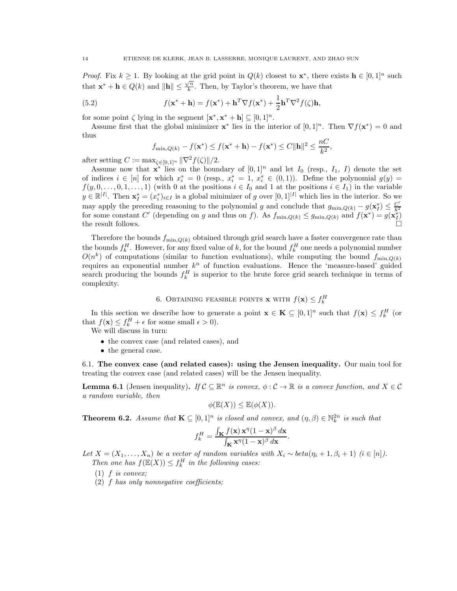*Proof.* Fix  $k \geq 1$ . By looking at the grid point in  $Q(k)$  closest to  $\mathbf{x}^*$ , there exists  $\mathbf{h} \in [0,1]^n$  such that  $\mathbf{x}^* + \mathbf{h} \in Q(k)$  and  $\|\mathbf{h}\| \leq \frac{\sqrt{n}}{k}$  $\frac{m}{k}$ . Then, by Taylor's theorem, we have that

(5.2) 
$$
f(\mathbf{x}^* + \mathbf{h}) = f(\mathbf{x}^*) + \mathbf{h}^T \nabla f(\mathbf{x}^*) + \frac{1}{2} \mathbf{h}^T \nabla^2 f(\zeta) \mathbf{h},
$$

for some point  $\zeta$  lying in the segment  $[\mathbf{x}^*, \mathbf{x}^* + \mathbf{h}] \subseteq [0, 1]^n$ .

Assume first that the global minimizer  $\mathbf{x}^*$  lies in the interior of  $[0,1]^n$ . Then  $\nabla f(\mathbf{x}^*)=0$  and thus

$$
f_{\min,Q(k)} - f(\mathbf{x}^*) \le f(\mathbf{x}^* + \mathbf{h}) - f(\mathbf{x}^*) \le C \|\mathbf{h}\|^2 \le \frac{nC}{k^2},
$$

after setting  $C := \max_{\zeta \in [0,1]^n} ||\nabla^2 f(\zeta)||/2.$ 

Assume now that  $\mathbf{x}^*$  lies on the boundary of  $[0,1]^n$  and let  $I_0$  (resp.,  $I_1$ , I) denote the set of indices  $i \in [n]$  for which  $x_i^* = 0$  (resp.,  $x_i^* = 1, x_i^* \in (0,1)$ ). Define the polynomial  $g(y) =$  $f(y, 0, \ldots, 0, 1, \ldots, 1)$  (with 0 at the positions  $i \in I_0$  and 1 at the positions  $i \in I_1$ ) in the variable  $y \in \mathbb{R}^{|I|}$ . Then  $\mathbf{x}_I^* = (x_i^*)_{i \in I}$  is a global minimizer of g over  $[0,1]^{|I|}$  which lies in the interior. So we may apply the preceding reasoning to the polynomial g and conclude that  $g_{\min,Q(k)} - g(\mathbf{x}_I^*) \leq \frac{C'}{k_1^2}$  $k<sup>2</sup>$ for some constant C' (depending on g and thus on f). As  $f_{\min,Q(k)} \leq g_{\min,Q(k)}$  and  $f(\mathbf{x}^*) = g(\mathbf{x}_I^*)$ the result follows.  $\Box$ 

Therefore the bounds  $f_{\min,Q(k)}$  obtained through grid search have a faster convergence rate than the bounds  $f_k^H$ . However, for any fixed value of k, for the bound  $f_k^H$  one needs a polynomial number  $O(n^k)$  of computations (similar to function evaluations), while computing the bound  $f_{\min,Q(k)}$ requires an exponential number  $k^n$  of function evaluations. Hence the 'measure-based' guided search producing the bounds  $f_k^H$  is superior to the brute force grid search technique in terms of complexity.

6. Obtaining feasible points **x** with  $f(\mathbf{x}) \leq f_k^H$ 

<span id="page-13-0"></span>In this section we describe how to generate a point  $\mathbf{x} \in \mathbf{K} \subseteq [0,1]^n$  such that  $f(\mathbf{x}) \leq f_k^H$  (or that  $f(\mathbf{x}) \leq f_k^H + \epsilon$  for some small  $\epsilon > 0$ ).

We will discuss in turn:

- the convex case (and related cases), and
- the general case.

<span id="page-13-1"></span>6.1. The convex case (and related cases): using the Jensen inequality. Our main tool for treating the convex case (and related cases) will be the Jensen inequality.

**Lemma 6.1** (Jensen inequality). If  $C \subseteq \mathbb{R}^n$  is convex,  $\phi : C \to \mathbb{R}$  is a convex function, and  $X \in C$ a random variable, then

$$
\phi(\mathbb{E}(X)) \leq \mathbb{E}(\phi(X)).
$$

<span id="page-13-2"></span>**Theorem 6.2.** Assume that  $\mathbf{K} \subseteq [0,1]^n$  is closed and convex, and  $(\eta, \beta) \in \mathbb{N}_k^{2n}$  is such that

$$
f_k^H = \frac{\int_{\mathbf{K}} f(\mathbf{x}) \mathbf{x}^\eta (1 - \mathbf{x})^\beta d\mathbf{x}}{\int_{\mathbf{K}} \mathbf{x}^\eta (1 - \mathbf{x})^\beta d\mathbf{x}}.
$$

Let  $X = (X_1, \ldots, X_n)$  be a vector of random variables with  $X_i \sim \text{beta}(\eta_i + 1, \beta_i + 1)$   $(i \in [n])$ . Then one has  $f(\mathbb{E}(X)) \leq f_k^H$  in the following cases:

 $(1)$  f is convex;

(2) f has only nonnegative coefficients;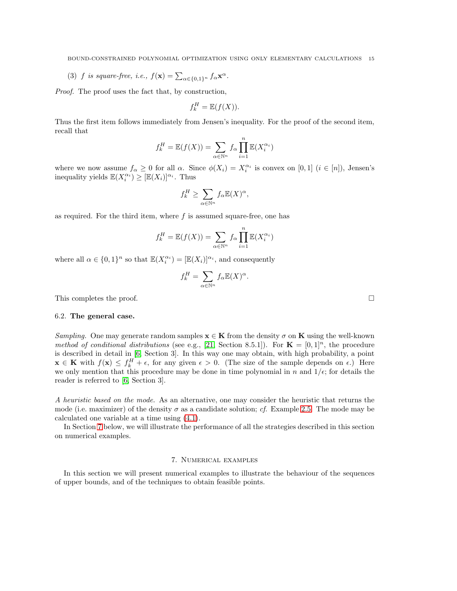(3) f is square-free, i.e.,  $f(\mathbf{x}) = \sum_{\alpha \in \{0,1\}^n} f_{\alpha} \mathbf{x}^{\alpha}$ .

Proof. The proof uses the fact that, by construction,

$$
f_k^H = \mathbb{E}(f(X)).
$$

Thus the first item follows immediately from Jensen's inequality. For the proof of the second item, recall that

$$
f_k^H = \mathbb{E}(f(X)) = \sum_{\alpha \in \mathbb{N}^n} f_{\alpha} \prod_{i=1}^n \mathbb{E}(X_i^{\alpha_i})
$$

where we now assume  $f_{\alpha} \geq 0$  for all  $\alpha$ . Since  $\phi(X_i) = X_i^{\alpha_i}$  is convex on [0, 1]  $(i \in [n])$ , Jensen's inequality yields  $\mathbb{E}(X_i^{\alpha_i}) \geq [\mathbb{E}(X_i)]^{\alpha_i}$ . Thus

$$
f_k^H \ge \sum_{\alpha \in \mathbb{N}^n} f_{\alpha} \mathbb{E}(X)^{\alpha},
$$

as required. For the third item, where  $f$  is assumed square-free, one has

$$
f_k^H = \mathbb{E}(f(X)) = \sum_{\alpha \in \mathbb{N}^n} f_{\alpha} \prod_{i=1}^n \mathbb{E}(X_i^{\alpha_i})
$$

where all  $\alpha \in \{0,1\}^n$  so that  $\mathbb{E}(X_i^{\alpha_i}) = [\mathbb{E}(X_i)]^{\alpha_i}$ , and consequently

$$
f_k^H = \sum_{\alpha \in \mathbb{N}^n} f_{\alpha} \mathbb{E}(X)^{\alpha}.
$$

This completes the proof.  $\Box$ 

## <span id="page-14-0"></span>6.2. The general case.

Sampling. One may generate random samples  $\mathbf{x} \in \mathbf{K}$  from the density  $\sigma$  on  $\mathbf{K}$  using the well-known method of conditional distributions (see e.g., [\[21,](#page-22-18) Section 8.5.1]). For  $\mathbf{K} = [0,1]^n$ , the procedure is described in detail in [\[6,](#page-22-6) Section 3]. In this way one may obtain, with high probability, a point  $\mathbf{x} \in \mathbf{K}$  with  $f(\mathbf{x}) \leq f_k^H + \epsilon$ , for any given  $\epsilon > 0$ . (The size of the sample depends on  $\epsilon$ .) Here we only mention that this procedure may be done in time polynomial in n and  $1/\epsilon$ ; for details the reader is referred to [\[6,](#page-22-6) Section 3].

A heuristic based on the mode. As an alternative, one may consider the heuristic that returns the mode (i.e. maximizer) of the density  $\sigma$  as a candidate solution; cf. Example [2.5.](#page-4-2) The mode may be calculated one variable at a time using [\(4.1\)](#page-7-5).

In Section [7](#page-14-1) below, we will illustrate the performance of all the strategies described in this section on numerical examples.

### 7. Numerical examples

<span id="page-14-1"></span>In this section we will present numerical examples to illustrate the behaviour of the sequences of upper bounds, and of the techniques to obtain feasible points.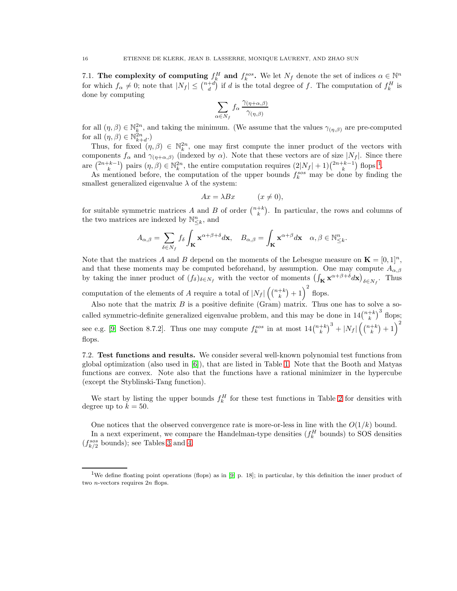7.1. The complexity of computing  $f_k^H$  and  $f_k^{sos}$ . We let  $N_f$  denote the set of indices  $\alpha \in \mathbb{N}^n$ for which  $f_{\alpha} \neq 0$ ; note that  $|N_f| \leq {n+d \choose d}$  if d is the total degree of f. The computation of  $f_k^H$  is done by computing

$$
\sum_{\alpha \in N_f} f_{\alpha} \frac{\gamma_{(\eta + \alpha, \beta)}}{\gamma_{(\eta, \beta)}}
$$

for all  $(\eta, \beta) \in \mathbb{N}_{\frac{R}{6}}^{2n}$ , and taking the minimum. (We assume that the values  $\gamma_{(\eta,\beta)}$  are pre-computed for all  $(\eta, \beta) \in \mathbb{N}_{k+d}^{2n}$ .)

Thus, for fixed  $(\eta, \beta) \in \mathbb{N}_k^{2n}$ , one may first compute the inner product of the vectors with components  $f_{\alpha}$  and  $\gamma_{(\eta+\alpha,\beta)}$  (indexed by  $\alpha$ ). Note that these vectors are of size  $|N_f|$ . Since there are  $\binom{2n+k-1}{k}$  $\binom{2n+k-1}{k}$  $\binom{2n+k-1}{k}$  pairs  $(\eta, \beta) \in \mathbb{N}_{k}^{2n}$ , the entire computation requires  $(2|N_f| + 1)\binom{2n+k-1}{k}$  flops <sup>1</sup>.

As mentioned before, the computation of the upper bounds  $f_k^{sos}$  may be done by finding the smallest generalized eigenvalue  $\lambda$  of the system:

$$
Ax = \lambda Bx \qquad (x \neq 0),
$$

for suitable symmetric matrices A and B of order  $\binom{n+k}{k}$ . In particular, the rows and columns of the two matrices are indexed by  $\mathbb{N}^n_{\leq k}$ , and

$$
A_{\alpha,\beta} = \sum_{\delta \in N_f} f_{\delta} \int_{\mathbf{K}} \mathbf{x}^{\alpha+\beta+\delta} d\mathbf{x}, \quad B_{\alpha,\beta} = \int_{\mathbf{K}} \mathbf{x}^{\alpha+\beta} d\mathbf{x} \quad \alpha, \beta \in \mathbb{N}_{\leq k}^n.
$$

Note that the matrices A and B depend on the moments of the Lebesgue measure on  $\mathbf{K} = [0, 1]^n$ , and that these moments may be computed beforehand, by assumption. One may compute  $A_{\alpha,\beta}$ by taking the inner product of  $(f_\delta)_{\delta \in N_f}$  with the vector of moments  $\left(\int_K \mathbf{x}^{\alpha+\beta+\delta} d\mathbf{x}\right)_{\delta \in N_f}$ . Thus

computation of the elements of A require a total of  $|N_f| \left(\binom{n+k}{k}+1\right)^2$  flops.

Also note that the matrix  $B$  is a positive definite (Gram) matrix. Thus one has to solve a socalled symmetric-definite generalized eigenvalue problem, and this may be done in  $14\binom{n+k}{k}^3$  flops; see e.g. [\[9,](#page-22-19) Section 8.7.2]. Thus one may compute  $f_k^{sos}$  in at most  $14\binom{n+k}{k}^3 + |N_f|\left(\binom{n+k}{k}+1\right)^2$ flops.

7.2. Test functions and results. We consider several well-known polynomial test functions from global optimization (also used in [\[6\]](#page-22-6)), that are listed in Table [1.](#page-16-0) Note that the Booth and Matyas functions are convex. Note also that the functions have a rational minimizer in the hypercube (except the Styblinski-Tang function).

We start by listing the upper bounds  $f_k^H$  for these test functions in Table [2](#page-16-1) for densities with degree up to  $k = 50$ .

One notices that the observed convergence rate is more-or-less in line with the  $O(1/k)$  bound.

In a next experiment, we compare the Handelman-type densities  $(f_k^H$  bounds) to SOS densities  $(f_{k/2}^{sos}$  bounds); see Tables [3](#page-17-0) and [4.](#page-17-1)

<span id="page-15-0"></span><sup>1</sup>We define floating point operations (flops) as in [\[9,](#page-22-19) p. 18]; in particular, by this definition the inner product of two *n*-vectors requires  $2n$  flops.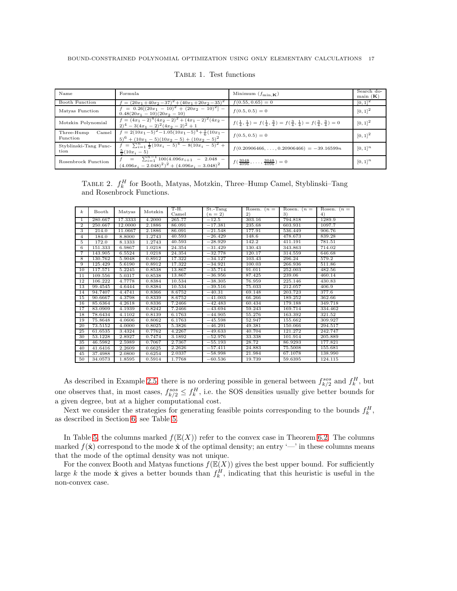<span id="page-16-0"></span>

| Name<br>Formula                 |                                                                                                           | Minimum $(f_{\min,K})$                                                                                                      | Search do-<br>$\text{main}(\mathbf{K})$ |
|---------------------------------|-----------------------------------------------------------------------------------------------------------|-----------------------------------------------------------------------------------------------------------------------------|-----------------------------------------|
| Booth Function                  | $f = (20x_1 + 40x_2 - 37)^2 + (40x_1 + 20x_2 - 35)^2$                                                     | $f(0.55, 0.65) = 0$                                                                                                         | $[0, 1]^{2}$                            |
| Matyas Function                 | $= 0.26[(20x_1 - 10)^2 + (20x_2 - 10)^2] -$<br>$0.48(20x_1 - 10)(20x_2 - 10)$                             | $f(0.5, 0.5) = 0$                                                                                                           | $[0, 1]^{2}$                            |
| Motzkin Polynomial              | $f = (4x_1 - 2)^4 (4x_2 - 2)^2 + (4x_1 - 2)^2 (4x_2 -$<br>$(2)^4 - 3(4x_1 - 2)^2(4x_2 - 2)^2 + 1$         | $f(\frac{1}{4}, \frac{1}{4}) = f(\frac{1}{4}, \frac{3}{4}) = f(\frac{3}{4}, \frac{1}{4}) = f(\frac{3}{4}, \frac{3}{4}) = 0$ | $[0, 1]^{2}$                            |
| Three-Hump<br>Camel<br>Function | $f = 2(10x_1-5)^2-1.05(10x_1-5)^4+\frac{1}{6}(10x_1-$<br>$(5)^6 + (10x_1 - 5)(10x_2 - 5) + (10x_2 - 5)^2$ | $f(0.5, 0.5) = 0$                                                                                                           | $[0, 1]^{2}$                            |
| Styblinski-Tang Func-<br>tion   | $f = \frac{n}{\sum_{i=1}^{n} \frac{1}{2} (10x_i - 5)^4 - 8(10x_i - 5)^2 + 1}$<br>$\frac{5}{8}(10x_i-5)$   | $f(0.20906466,\ldots,0.20906466) = -39.16599n$                                                                              | $[0, 1]^{n}$                            |
| Rosenbrock Function             | $f = \sum_{i=1}^{n-1} 100(4.096x_{i+1} - 2.048 -$<br>$(4.096x_i - 2.048)^2)^2 + (4.096x_i - 3.048)^2$     | $f(\frac{3048}{4096},\ldots,\frac{3048}{4096})=0$                                                                           | $[0, 1]^{n}$                            |

Table 1. Test functions

<span id="page-16-1"></span>TABLE 2.  $f_k^H$  for Booth, Matyas, Motzkin, Three–Hump Camel, Styblinski–Tang and Rosenbrock Functions.

| $\boldsymbol{k}$ | Booth   |         | Motzkin | T-H.   | St.-Tang  | Rosen. $(n =$ | Rosen. $(n =$ | Rosen. $(n =$ |
|------------------|---------|---------|---------|--------|-----------|---------------|---------------|---------------|
|                  |         | Matyas  |         | Camel  | $(n=2)$   | 2)            | 3)            | 4)            |
| 1                | 280.667 | 17.3333 | 4.2000  | 265.77 | $-12.5$   | 303.16        | 794.818       | 1289.9        |
| $\overline{2}$   | 250.667 | 12.0000 | 2.1886  | 86.091 | $-17.381$ | 235.68        | 603.931       | 1097.7        |
| 3                | 214.0   | 11.0667 | 2.1886  | 86.091 | $-21.548$ | 177.91        | 536.449       | 906.76        |
| 4                | 184.0   | 8.8000  | 1.2743  | 40.593 | $-26.429$ | 148.6         | 478.673       | 839.28        |
| 5                | 172.0   | 8.1333  | 1.2743  | 40.593 | $-28.929$ | 142.2         | 411.191       | 781.51        |
| 6                | 151.333 | 6.9867  | 1.0218  | 24.354 | $-31.429$ | 130.43        | 343.863       | 714.02        |
| 7                | 143.905 | 6.5524  | 1.0218  | 24.354 | $-32.778$ | 120.17        | 314.559       | 646.68        |
| 8                | 130.762 | 5.9048  | 0.8912  | 17.322 | $-34.127$ | 103.43        | 296.24        | 579.2         |
| 9                | 125.429 | 5.6190  | 0.8912  | 17.322 | $-34.921$ | 100.03        | 266.936       | 511.86        |
| 10               | 117.571 | 5.2245  | 0.8538  | 13.867 | $-35.714$ | 91.011        | 252.003       | 482.56        |
| 11               | 109.556 | 5.0317  | 0.8538  | 13.867 | $-36.956$ | 87.425        | 239.06        | 460.14        |
| 12               | 106.222 | 4.7778  | 0.8384  | 10.534 | $-38.305$ | 76.959        | 225.146       | 430.83        |
| 13               | 99.4545 | 4.6444  | 0.8384  | 10.534 | $-39.516$ | 75.033        | 212.057       | 406.9         |
| 14               | 94.7407 | 4.4741  | 0.8366  | 8.6752 | $-40.31$  | 69.148        | 203.723       | 377.6         |
| 15               | 90.6667 | 4.3798  | 0.8339  | 8.6752 | $-41.003$ | 66.266        | 189.252       | 362.66        |
| 16               | 85.6364 | 4.2618  | 0.8336  | 7.2466 | $-42.483$ | 60.434        | 179.188       | 349.718       |
| 17               | 83.0909 | 4.1939  | 0.8242  | 7.2466 | $-43.694$ | 59.243        | 169.714       | 334.462       |
| 18               | 78.6434 | 4.1102  | 0.8139  | 6.1763 | $-44.905$ | 55.276        | 163.392       | 321.52        |
| 19               | 75.8648 | 4.0606  | 0.8062  | 6.1763 | $-45.598$ | 52.947        | 155.662       | 309.927       |
| 20               | 73.5152 | 4.0000  | 0.8025  | 5.3826 | $-46.291$ | 49.381        | 150.066       | 294.517       |
| 25               | 61.6535 | 3.4324  | 0.7762  | 4.2267 | $-49.633$ | 40.704        | 121.272       | 242.747       |
| 30               | 53.1228 | 2.8927  | 0.7474  | 3.1892 | $-52.976$ | 33.338        | 101.914       | 205.889       |
| 35               | 46.5982 | 2.5989  | 0.7067  | 2.7367 | $-55.193$ | 28.72         | 86.9293       | 177.821       |
| 40               | 41.6416 | 2.2609  | 0.6625  | 2.2626 | $-57.411$ | 24.883        | 75.5008       | 155.681       |
| 45               | 37.4988 | 2.0800  | 0.6254  | 2.0337 | $-58.998$ | 21.984        | 67.1078       | 138.990       |
| 50               | 34.0573 | 1.8595  | 0.5914  | 1.7768 | $-60.536$ | 19.739        | 59.6395       | 124.115       |

As described in Example [2.5,](#page-4-2) there is no ordering possible in general between  $f_{k/2}^{sos}$  and  $f_k^H$ , but one observes that, in most cases,  $f_{k/2}^{sos} \leq f_k^H$ , i.e. the SOS densities usually give better bounds for a given degree, but at a higher computational cost.

Next we consider the strategies for generating feasible points corresponding to the bounds  $f_k^H$ , as described in Section [6;](#page-13-0) see Table [5.](#page-18-1)

In Table [5,](#page-18-1) the columns marked  $f(\mathbb{E}(X))$  refer to the convex case in Theorem [6.2.](#page-13-2) The columns marked  $f(\hat{\mathbf{x}})$  correspond to the mode  $\hat{\mathbf{x}}$  of the optimal density; an entry '—' in these columns means that the mode of the optimal density was not unique.

For the convex Booth and Matyas functions  $f(\mathbb{E}(X))$  gives the best upper bound. For sufficiently large k the mode  $\hat{\mathbf{x}}$  gives a better bounds than  $f_k^H$ , indicating that this heuristic is useful in the non-convex case.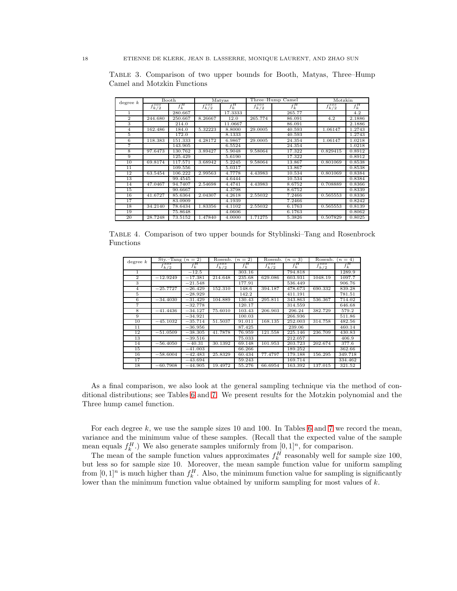| degree k        | Booth           |         | Matyas          |         |                 | Three-Hump Camel | Motzkin         |         |
|-----------------|-----------------|---------|-----------------|---------|-----------------|------------------|-----------------|---------|
|                 | $f_{k/2}^{sos}$ | $f_k^H$ | $f_{k/2}^{sos}$ | $f_k^H$ | $f_{k/2}^{sos}$ | $f_k^H$          | $f_{k/2}^{sos}$ | $f_k^H$ |
| 1               |                 | 280.667 |                 | 17.3333 |                 | 265.77           |                 | 4.2     |
| $\overline{2}$  | 244.680         | 250.667 | 8.26667         | 12.0    | 265.774         | 86.091           | 4.2             | 2.1886  |
| 3               |                 | 214.0   |                 | 11.0667 |                 | 86.091           |                 | 2.1886  |
| 4               | 162.486         | 184.0   | 5.32223         | 8.8000  | 29.0005         | 40.593           | 1.06147         | 1.2743  |
| 5               |                 | 172.0   |                 | 8.1333  |                 | 40.593           |                 | 1.2743  |
| 6               | 118.383         | 151.333 | 4.28172         | 6.9867  | 29.0005         | 24.354           | 1.06147         | 1.0218  |
| 7               |                 | 143.905 |                 | 6.5524  |                 | 24.354           |                 | 1.0218  |
| 8               | 97.6473         | 130.762 | 3.89427         | 5.9048  | 9.58064         | 17.322           | 0.829415        | 0.8912  |
| 9               |                 | 125.429 |                 | 5.6190  |                 | 17.322           |                 | 0.8912  |
| 10              | 69.8174         | 117.571 | 3.68942         | 5.2245  | 9.58064         | 13.867           | 0.801069        | 0.8538  |
| $\overline{11}$ |                 | 109.556 |                 | 5.0317  |                 | 13.867           |                 | 0.8538  |
| 12              | 63.5454         | 106.222 | 2.99563         | 4.7778  | 4.43983         | 10.534           | 0.801069        | 0.8384  |
| 13              |                 | 99.4545 |                 | 4.6444  |                 | 10.534           |                 | 0.8384  |
| 14              | 47.0467         | 94.7407 | 2.54698         | 4.4741  | 4.43983         | 8.6752           | 0.708889        | 0.8366  |
| 15              |                 | 90.6667 |                 | 4.3798  |                 | 8.6752           |                 | 0.8339  |
| 16              | 41.6727         | 85.6364 | 2.04307         | 4.2618  | 2.55032         | 7.2466           | 0.565553        | 0.8336  |
| 17              |                 | 83.0909 |                 | 4.1939  |                 | 7.2466           |                 | 0.8242  |
| 18              | 34.2140         | 78.6434 | 1.83356         | 4.1102  | 2.55032         | 6.1763           | 0.565553        | 0.8139  |
| 19              |                 | 75.8648 |                 | 4.0606  |                 | 6.1763           |                 | 0.8062  |
| 20              | 28.7248         | 73.5152 | 1.47840         | 4.0000  | 1.71275         | 5.3826           | 0.507829        | 0.8025  |

<span id="page-17-0"></span>Table 3. Comparison of two upper bounds for Booth, Matyas, Three–Hump Camel and Motzkin Functions

<span id="page-17-1"></span>Table 4. Comparison of two upper bounds for Styblinski–Tang and Rosenbrock Functions

| degree k       | Sty.-Tang $(n=2)$                |           | Rosenb.         | $(n=2)$ | Rosenb.         | $(n=3)$ | Rosenb.            | $(n=4)$ |
|----------------|----------------------------------|-----------|-----------------|---------|-----------------|---------|--------------------|---------|
|                | $_{\textit{r}}$ sos<br>$J_{k/2}$ | $f_k^H$   | $f_{k/2}^{sos}$ | $f_k^H$ | $f_{k/2}^{sos}$ | $f_k^H$ | 1.50S<br>$J_{k/2}$ | $f_k^H$ |
|                |                                  | $-12.5$   |                 | 303.16  |                 | 794.818 |                    | 1289.9  |
| $\overline{2}$ | $-12.9249$                       | $-17.381$ | 214.648         | 235.68  | 629.086         | 603.931 | 1048.19            | 1097.7  |
| 3              |                                  | $-21.548$ |                 | 177.91  |                 | 536.449 |                    | 906.76  |
| 4              | $-25.7727$                       | $-26.429$ | 152.310         | 148.6   | 394.187         | 478.673 | 690.332            | 839.28  |
| 5              |                                  | $-28.929$ |                 | 142.2   |                 | 411.191 |                    | 781.51  |
| 6              | $-34.4030$                       | $-31.429$ | 104.889         | 130.43  | 295.811         | 343.863 | 536.367            | 714.02  |
| 7              |                                  | $-32.778$ |                 | 120.17  |                 | 314.559 |                    | 646.68  |
| 8              | $-41.4436$                       | $-34.127$ | 75.6010         | 103.43  | 206.903         | 296.24  | 382.729            | 579.2   |
| 9              |                                  | $-34.921$ |                 | 100.03  |                 | 266.936 |                    | 511.86  |
| 10             | $-45.1032$                       | $-35.714$ | 51.5037         | 91.011  | 168.135         | 252.003 | 314.758            | 482.56  |
| 11             |                                  | $-36.956$ |                 | 87.425  |                 | 239.06  |                    | 460.14  |
| 12             | $-51.0509$                       | $-38.305$ | 41.7878         | 76.959  | 121.558         | 225.146 | 236.709            | 430.83  |
| 13             |                                  | $-39.516$ |                 | 75.033  |                 | 212.057 |                    | 406.9   |
| 14             | $-56.4050$                       | $-40.31$  | 30.1392         | 69.148  | 101.953         | 203.723 | 202.674            | 377.6   |
| 15             |                                  | $-41.003$ |                 | 66.266  |                 | 189.252 |                    | 362.66  |
| 16             | $-58,6004$                       | $-42.483$ | 25.8329         | 60.434  | 77.4797         | 179.188 | 156.295            | 349.718 |
| 17             |                                  | $-43.694$ |                 | 59.243  |                 | 169.714 |                    | 334.462 |
| 18             | $-60.7908$                       | $-44.905$ | 19.4972         | 55.276  | 66.6954         | 163.392 | 137.015            | 321.52  |

As a final comparison, we also look at the general sampling technique via the method of conditional distributions; see Tables [6](#page-18-2) and [7.](#page-19-0) We present results for the Motzkin polynomial and the Three hump camel function.

For each degree  $k$ , we use the sample sizes 10 and 100. In Tables [6](#page-18-2) and [7](#page-19-0) we record the mean, variance and the minimum value of these samples. (Recall that the expected value of the sample mean equals  $f_k^H$ .) We also generate samples uniformly from  $[0, 1]^n$ , for comparison.

The mean of the sample function values approximates  $f_k^H$  reasonably well for sample size 100, but less so for sample size 10. Moreover, the mean sample function value for uniform sampling from  $[0,1]^n$  is much higher than  $f_k^H$ . Also, the minimum function value for sampling is significantly lower than the minimum function value obtained by uniform sampling for most values of  $k$ .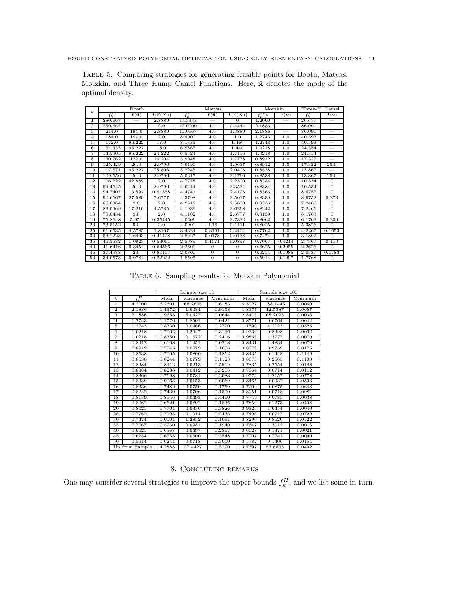<span id="page-18-1"></span>Table 5. Comparing strategies for generating feasible points for Booth, Matyas, Motzkin, and Three–Hump Camel Functions. Here,  $\hat{\mathbf{x}}$  denotes the mode of the optimal density.

| $\boldsymbol{k}$ |           | Booth                 |                    |           | Matyas                |                    | Motzkin       |                       | Three-H. Camel |                          |
|------------------|-----------|-----------------------|--------------------|-----------|-----------------------|--------------------|---------------|-----------------------|----------------|--------------------------|
|                  | $f^H_\nu$ | $f(\hat{\mathbf{x}})$ | $f(\mathbb{E}(X))$ | $f^H_\nu$ | $f(\hat{\mathbf{x}})$ | $f(\mathbb{E}(X))$ | $f^H_{\nu} *$ | $f(\hat{\mathbf{x}})$ | $f_k^H$        | $f(\hat{\mathbf{x}})$    |
| 1.               | 280.667   |                       | 2.8889             | 17.3333   |                       | $\Omega$           | 4.2000        |                       | 265.77         |                          |
| $\overline{2}$   | 250.667   |                       | 9.0                | 12.0000   | 4.0                   | 0.4444             | 2.1886        |                       | 86.091         |                          |
| 3                | 214.0     | 194.0                 | 2.8889             | 11.0667   | 4.0                   | 1.3889             | 2.1886        |                       | 86.091         |                          |
| 4                | 184.0     | 194.0                 | 9.0                | 8.8000    | 4.0                   | 1.0                | 1.2743        | 1.0                   | 40.593         | $\overline{\phantom{0}}$ |
| 5                | 172.0     | 96.222                | 17.0               | 8.1333    | 4.0                   | 1.460              | 1.2743        | 1.0                   | 40.593         |                          |
| 6                | 151.333   | 96.222                | 18.0               | 6.9867    | 4.0                   | 1.440              | 1.0218        | 1.0                   | 24.354         |                          |
| 7                | 143.905   | 96.222                | 24.222             | 6.5524    | 4.0                   | 1.7156             | 1.0218        | 1.0                   | 24.354         |                          |
| 8                | 130.762   | 122.0                 | 16.204             | 5.9048    | 4.0                   | 1.7778             | 0.8912        | 1.0                   | 17.322         |                          |
| 9                | 125.429   | 26.0                  | 2.9796             | 5.6190    | 4.0                   | 1.9637             | 0.8912        | 1.0                   | 17.322         | 25.0                     |
| 10               | 117.571   | 96.222                | 25.806             | 5.2245    | 4.0                   | 2.0408             | 0.8538        | 1.0                   | 13.867         |                          |
| 11               | 109.556   | 26.0                  | 2.9796             | 5.0317    | 4.0                   | 2.1760             | 0.8538        | 1.0                   | 13.867         | 25.0                     |
| 12               | 106.222   | 42.889                | 9.0                | 4.7778    | 4.0                   | 2.2500             | 0.8384        | 1.0                   | 10.534         | $\overline{0}$           |
| 13               | 99.4545   | 26.0                  | 2.9796             | 4.6444    | 4.0                   | 2.3534             | 0.8384        | 1.0                   | 10.534         | $\overline{0}$           |
| 14               | 94.7407   | 13.592                | 0.91358            | 4.4741    | 4.0                   | 2.4198             | 0.8366        | 1.0                   | 8.6752         | $\Omega$                 |
| 15               | 90.6667   | 27.580                | 7.6777             | 4.3798    | 4.0                   | 2.5017             | 0.8339        | 1.0                   | 8.6752         | 0.273                    |
| 16               | 85.6364   | 9.0                   | 2.0                | 4.2618    | 4.0                   | 2.5600             | 0.8336        | 1.0                   | 7.2466         | $\overline{0}$           |
| 17               | 83.0909   | 17.210                | 4.5785             | 4.1939    | 4.0                   | 2.6268             | 0.8242        | 1.0                   | 7.2466         | $\Omega$                 |
| 18               | 78.6434   | 9.0                   | 2.0                | 4.1102    | 4.0                   | 2.6777             | 0.8139        | 1.0                   | 6.1763         | $\overline{0}$           |
| 19               | 75.8648   | 5.951                 | 0.35445            | 4.0606    | 4.0                   | 2.7332             | 0.8062        | 1.0                   | 6.1763         | 0.209                    |
| 20               | 73.5152   | 9.0                   | 2.0                | 4.0000    | 0.16                  | 0.1111             | 0.8025        | 1.0                   | 5.3826         | $\Omega$                 |
| 25               | 61.6535   | 4.5785                | 1.8107             | 3.4324    | 0.3161                | 0.2404             | 0.7762        | 1.0                   | 4.2267         | 0.1653                   |
| 30               | 53.1228   | 1.6403                | 0.41428            | 2.8927    | 0.0178                | 0.0138             | 0.7474        | 1.0                   | 3.1892         | $\Omega$                 |
| 35               | 46.5982   | 1.0923                | 0.53061            | 2.5989    | 0.1071                | 0.0897             | 0.7067        | 0.4214                | 2.7367         | 0.110                    |
| 40               | 41.6416   | 0.8454                | 0.64566            | 2.2609    | $\overline{0}$        | $\overline{0}$     | 0.6625        | 0.2955                | 2.2626         | $\overline{0}$           |
| 45               | 37.4988   | 2.0                   | 0.80157            | 2.0800    | $\mathbf{0}$          | $\mathbf{0}$       | 0.6254        | 0.1985                | 2.0337         | 0.0783                   |
| 50               | 34.0573   | 0.9784                | 0.22222            | 1.8595    | $\mathbf{0}$          | $\mathbf{0}$       | 0.5914        | 0.1297                | 1.7768         | $\mathbf{0}$             |

Table 6. Sampling results for Motzkin Polynomial

<span id="page-18-2"></span>

|                |                | Sample size 10 |          | Sample size 100 |        |          |         |
|----------------|----------------|----------------|----------|-----------------|--------|----------|---------|
| $\mathbf{k}$   | $f_k^H$        | Mean           | Variance | Minimum         | Mean   | Variance | Minimum |
| 1              | 4.2000         | 6.2601         | 66.2605  | 0.6183          | 6.5027 | 188.1445 | 0.0060  |
| $\overline{2}$ | 2.1886         | 1.4972         | 1.6084   | 0.9158          | 1.8377 | 12.5387  | 0.0657  |
| 3              | 2.1886         | 1.9658         | 5.0427   | 0.0644          | 2.8413 | 68.2093  | 0.0036  |
| $\overline{4}$ | 1.2743         | 1.1776         | 1.8501   | 0.0421          | 0.8571 | 0.6764   | 0.0042  |
| 5              | 1.2743         | 0.8330         | 0.0466   | 0.2790          | 1.1590 | 4.2023   | 0.0525  |
| 6              | 1.0218         | 1.7002         | 6.2647   | 0.3196          | 0.9336 | 0.8998   | 0.0002  |
| 7              | 1.0218         | 0.8350         | 0.1672   | 0.2416          | 0.9863 | 1.3777   | 0.0070  |
| 8              | 0.8912         | 0.6108         | 0.1451   | 0.0218          | 0.8431 | 1.4834   | 0.0070  |
| 9              | 0.8912         | 0.7545         | 0.0679   | 0.1656          | 0.8879 | 0.2752   | 0.0175  |
| 10             | 0.8538         | 0.7005         | 0.0800   | 0.1862          | 0.8435 | 0.1448   | 0.1149  |
| 11             | 0.8538         | 0.8244         | 0.0779   | 0.1123          | 0.8673 | 0.2565   | 0.1100  |
| 12             | 0.8384         | 0.8912         | 0.0213   | 0.5919          | 0.7835 | 0.2554   | 0.0188  |
| 13             | 0.8384         | 0.8286         | 0.0412   | 0.3205          | 0.7664 | 0.0714   | 0.0112  |
| 14             | 0.8366         | 0.7698         | 0.0781   | 0.2083          | 0.9574 | 1.2157   | 0.0778  |
| 15             | 0.8339         | 0.9063         | 0.0153   | 0.6069          | 0.8465 | 0.0932   | 0.0593  |
| 16             | 0.8336         | 0.7482         | 0.0750   | 0.1759          | 0.7209 | 0.0875   | 0.0648  |
| 17             | 0.8242         | 0.7430         | 0.0706   | 0.1500          | 0.8051 | 0.0718   | 0.0984  |
| 18             | 0.8139         | 0.8546         | 0.0493   | 0.4460          | 0.7749 | 0.0785   | 0.0038  |
| 19             | 0.8062         | 0.6621         | 0.0892   | 0.1836          | 0.7850 | 0.1273   | 0.0408  |
| 20             | 0.8025         | 0.7704         | 0.0336   | 0.3826          | 0.9326 | 1.6454   | 0.0040  |
| 25             | 0.7762         | 0.7995         | 0.1014   | 0.2433          | 0.7493 | 0.0717   | 0.0722  |
| 30             | 0.7474         | 1.0104         | 1.2852   | 0.1091          | 0.8290 | 0.8620   | 0.0522  |
| 35             | 0.7067         | 0.5930         | 0.0981   | 0.1940          | 0.7647 | 1.3012   | 0.0016  |
| 40             | 0.6625         | 0.6967         | 0.0497   | 0.2867          | 0.6028 | 0.1371   | 0.0021  |
| 45             | 0.6254         | 0.6258         | 0.0500   | 0.3548          | 0.7007 | 0.2242   | 0.0090  |
| 50             | 0.5914         | 0.6244         | 0.0718   | 0.3000          | 0.5782 | 0.1406   | 0.0154  |
|                | Uniform Sample | 4.2888         | 37.4427  | 0.5290          | 3.7397 | 53.8833  | 0.0492  |

### 8. Concluding remarks

<span id="page-18-0"></span>One may consider several strategies to improve the upper bounds  $f_k^H$ , and we list some in turn.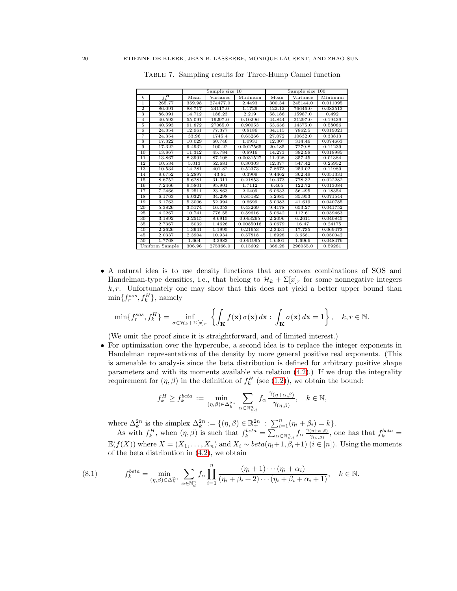<span id="page-19-0"></span>

|                  |                |        | Sample size 10 |           |        | Sample size 100 |          |
|------------------|----------------|--------|----------------|-----------|--------|-----------------|----------|
| $\boldsymbol{k}$ | $f_k^H$        | Mean   | Variance       | Minimum   | Mean   | Variance        | Minimum  |
| T                | 265.77         | 359.98 | 274477.0       | 2.4493    | 300.34 | 245144.0        | 0.011095 |
| $\overline{2}$   | 86.091         | 88.717 | 24117.0        | 1.1729    | 122.12 | 76646.0         | 0.082513 |
| 3                | 86.091         | 14.712 | 186.23         | 2.219     | 58.186 | 15987.0         | 0.492    |
| $\overline{4}$   | 40.593         | 55.091 | 19297.0        | 0.10296   | 44.844 | 21297.0         | 0.19439  |
| 5                | 40.593         | 91.872 | 27065.0        | 0.90053   | 53.656 | 14575.0         | 0.58086  |
| 6                | 24.354         | 12.961 | 77.377         | 0.8186    | 34.115 | 7862.5          | 0.019021 |
| 7                | 24.354         | 33.96  | 1745.4         | 0.65266   | 27.072 | 10632.0         | 0.33813  |
| 8                | 17.322         | 10.029 | 60.746         | 1.0931    | 12.307 | 314.46          | 0.074663 |
| 9                | 17.322         | 9.4932 | 100.22         | 0.0027565 | 20.185 | 7279.8          | 0.11239  |
| 10               | 13.867         | 11.312 | 45.784         | 0.8916    | 14.273 | 382.98          | 0.018985 |
| $\overline{11}$  | 13.867         | 8.3991 | 87.108         | 0.0031527 | 11.928 | 357.45          | 0.01384  |
| 12               | 10.534         | 5.013  | 52.681         | 0.30303   | 12.377 | 347.42          | 0.25952  |
| 13               | 10.534         | 14.281 | 401.82         | 0.52373   | 7.8673 | 253.02          | 0.11989  |
| 14               | 8.6752         | 5.2897 | 43.81          | 0.3909    | 9.4462 | 362.49          | 0.051331 |
| 15               | 8.6752         | 5.6281 | 31.311         | 0.21853   | 10.373 | 778.32          | 0.022282 |
| 16               | 7.2466         | 9.5801 | 95.901         | 1.7112    | 6.465  | 122.72          | 0.013084 |
| 17               | 7.2466         | 5.2511 | 23.863         | 2.0409    | 6.0633 | 56.495          | 0.18354  |
| 18               | 6.1763         | 6.0327 | 34.298         | 0.85182   | 5.2985 | 35.953          | 0.071544 |
| 19               | 6.1763         | 5.3006 | 52.994         | 0.6699    | 5.0383 | 41.619          | 0.040785 |
| 20               | 5.3826         | 3.5174 | 16.053         | 0.43269   | 9.4178 | 653.27          | 0.041752 |
| 25               | 4.2267         | 10.741 | 776.55         | 0.59616   | 5.0642 | 112.61          | 0.039463 |
| 30               | 3.1892         | 2.2515 | 8.6915         | 0.063265  | 2.2096 | 6.2611          | 0.040845 |
| 35               | 2.7367         | 1.5032 | 1.4626         | 0.0085016 | 3.0679 | 16.47           | 0.24175  |
| 40               | 2.2626         | 1.3941 | 1.1995         | 0.21653   | 2.3431 | 17.735          | 0.069473 |
| 45               | 2.0337         | 2.3904 | 10.934         | 0.57818   | 1.8928 | 3.6581          | 0.050042 |
| 50               | 1.7768         | 1.664  | 3.3983         | 0.061995  | 1.6301 | 1.6966          | 0.048476 |
|                  | Uniform Sample | 306.96 | 275366.0       | 0.15602   | 368.28 | 296055.0        | 0.59281  |

Table 7. Sampling results for Three-Hump Camel function

• A natural idea is to use density functions that are convex combinations of SOS and Handelman-type densities, i.e., that belong to  $\mathcal{H}_k + \Sigma[x]_r$  for some nonnegative integers  $k, r$ . Unfortunately one may show that this does not yield a better upper bound than  $\min\{f_r^{sos}, f_k^H\}$ , namely

$$
\min\{f_r^{sos}, f_k^H\} = \inf_{\sigma \in \mathcal{H}_k + \Sigma[x]_r} \left\{ \int_{\mathbf{K}} f(\mathbf{x}) \, \sigma(\mathbf{x}) \, d\mathbf{x} : \int_{\mathbf{K}} \sigma(\mathbf{x}) \, d\mathbf{x} = 1 \right\}, \quad k, r \in \mathbb{N}.
$$

(We omit the proof since it is straightforward, and of limited interest.)

• For optimization over the hypercube, a second idea is to replace the integer exponents in Handelman representations of the density by more general positive real exponents. (This is amenable to analysis since the beta distribution is defined for arbitrary positive shape parameters and with its moments available via relation  $(4.2)$ .) If we drop the integrality requirement for  $(\eta, \beta)$  in the definition of  $f_k^H$  (see [\(1.2\)](#page-1-0)), we obtain the bound:

$$
f_k^H \ge f_k^{beta} := \min_{(\eta,\beta) \in \Delta_k^{2n}} \sum_{\alpha \in \mathbb{N}_{\leq d}^n} f_\alpha \frac{\gamma_{(\eta+\alpha,\beta)}}{\gamma_{(\eta,\beta)}}, \quad k \in \mathbb{N},
$$

where  $\Delta_k^{2n}$  is the simplex  $\Delta_k^{2n} := \{(\eta, \beta) \in \mathbb{R}_+^{2n} : \sum_{i=1}^n (\eta_i + \beta_i) = k\}.$ 

As with  $f_k^H$ , when  $(\eta, \beta)$  is such that  $f_k^{beta} = \sum_{\alpha \in \mathbb{N}_{\leq d}^n} f_\alpha \frac{\gamma_{(\eta + \alpha, \beta)}}{\gamma_{(\eta, \beta)}}$  $\frac{(\eta + \alpha, \beta)}{\gamma(\eta, \beta)}$ , one has that  $f_k^{beta}$  =  $\mathbb{E}(f(X))$  where  $X = (X_1, \ldots, X_n)$  and  $X_i \sim beta(\eta_i + 1, \beta_i + 1)$   $(i \in [n])$ . Using the moments of the beta distribution in [\(4.2\)](#page-7-3), we obtain

<span id="page-19-1"></span>(8.1) 
$$
f_k^{beta} = \min_{(\eta,\beta)\in\Delta_k^{2n}} \sum_{\alpha\in\mathbb{N}_d^n} f_\alpha \prod_{i=1}^n \frac{(\eta_i+1)\cdots(\eta_i+\alpha_i)}{(\eta_i+\beta_i+2)\cdots(\eta_i+\beta_i+\alpha_i+1)}, \quad k\in\mathbb{N}.
$$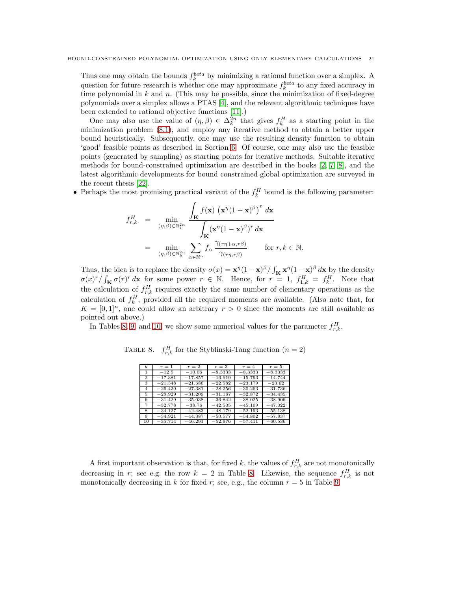Thus one may obtain the bounds  $f_k^{beta}$  by minimizing a rational function over a simplex. A question for future research is whether one may approximate  $f_k^{beta}$  to any fixed accuracy in time polynomial in  $k$  and  $n$ . (This may be possible, since the minimization of fixed-degree polynomials over a simplex allows a PTAS [\[4\]](#page-22-9), and the relevant algorithmic techniques have been extended to rational objective functions [\[11\]](#page-22-20).)

One may also use the value of  $(\eta, \beta) \in \Delta_k^{2n}$  that gives  $f_k^H$  as a starting point in the minimization problem [\(8.1\)](#page-19-1), and employ any iterative method to obtain a better upper bound heuristically. Subsequently, one may use the resulting density function to obtain 'good' feasible points as described in Section [6.](#page-13-0) Of course, one may also use the feasible points (generated by sampling) as starting points for iterative methods. Suitable iterative methods for bound-constrained optimization are described in the books [\[2,](#page-22-21) [7,](#page-22-22) 8], and the latest algorithmic developments for bound constrained global optimization are surveyed in the recent thesis [22].

• Perhaps the most promising practical variant of the  $f_k^H$  bound is the following parameter:

$$
f_{r,k}^H = \min_{(\eta,\beta)\in\mathbb{N}_k^{2n}} \frac{\int_{\mathbf{K}} f(\mathbf{x}) (\mathbf{x}^\eta (1-\mathbf{x})^\beta)^r d\mathbf{x}}{\int_{\mathbf{K}} (\mathbf{x}^\eta (1-\mathbf{x})^\beta)^r d\mathbf{x}}
$$
  

$$
= \min_{(\eta,\beta)\in\mathbb{N}_k^{2n}} \sum_{\alpha\in\mathbb{N}^n} f_\alpha \frac{\gamma_{(\eta+\alpha,r\beta)}}{\gamma_{(\eta,r\beta)}} \quad \text{for } r,k\in\mathbb{N}.
$$

Thus, the idea is to replace the density  $\sigma(x) = \mathbf{x}^{\eta} (1 - \mathbf{x})^{\beta} / \int_{\mathbf{K}} \mathbf{x}^{\eta} (1 - \mathbf{x})^{\beta} d\mathbf{x}$  by the density  $\sigma(x)^r / \int_K \sigma(r)^r dx$  for some power  $r \in \mathbb{N}$ . Hence, for  $r = 1$ ,  $f_{1,k}^H = f_k^H$ . Note that the calculation of  $f_{r,k}^H$  requires exactly the same number of elementary operations as the calculation of  $f_k^H$ , provided all the required moments are available. (Also note that, for  $K = [0, 1]^n$ , one could allow an arbitrary  $r > 0$  since the moments are still available as pointed out above.)

<span id="page-20-0"></span>In Tables [8,](#page-20-0) [9,](#page-21-0) and [10,](#page-21-1) we show some numerical values for the parameter  $f_{r,k}^H$ .

| $\boldsymbol{k}$ | $r=1$     | $r=2$     | $r=3$     | $r=4$     | $r=5$     |
|------------------|-----------|-----------|-----------|-----------|-----------|
|                  | $-12.5$   | $-10.06$  | $-8.3333$ | $-8.3333$ | $-8.3333$ |
| $\overline{2}$   | $-17.381$ | $-17.857$ | $-16.919$ | $-15.793$ | $-14.744$ |
| 3                | $-21.548$ | $-21.686$ | $-22.582$ | $-23.179$ | $-23.62$  |
| 4                | $-26.429$ | $-27.381$ | $-28.256$ | $-30.263$ | $-31.736$ |
| 5.               | $-28.929$ | $-31.209$ | $-31.167$ | $-32.872$ | $-34.435$ |
| 6                | $-31.429$ | $-35.038$ | $-36.842$ | $-38.025$ | $-38.906$ |
| 7                | $-32.778$ | $-38.76$  | $-42.505$ | $-45.109$ | $-47.022$ |
| 8                | $-34.127$ | $-42.483$ | $-48.179$ | $-52.193$ | $-55.138$ |
| 9                | $-34.921$ | $-44.387$ | $-50.577$ | $-54.802$ | $-57.837$ |
| 10               | $-35.714$ | $-46.291$ | $-52.976$ | $-57.411$ | $-60.536$ |

TABLE 8.  $f_{r,k}^H$  for the Styblinski-Tang function  $(n = 2)$ 

A first important observation is that, for fixed k, the values of  $f_{r,k}^H$  are not monotonically decreasing in r; see e.g. the row  $k = 2$  in Table [8.](#page-20-0) Likewise, the sequence  $f_{r,k}^H$  is not monotonically decreasing in k for fixed r; see, e.g., the column  $r = 5$  in Table [9.](#page-21-0)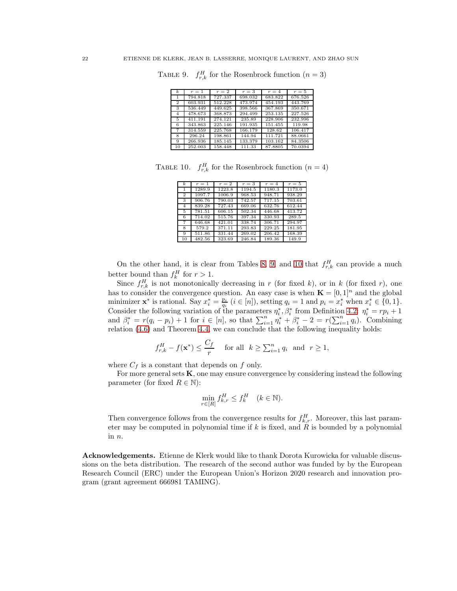<span id="page-21-0"></span>

|  |  | TABLE 9. $f_{r,k}^H$ for the Rosenbrock function $(n=3)$ |  |  |
|--|--|----------------------------------------------------------|--|--|
|--|--|----------------------------------------------------------|--|--|

| $\boldsymbol{k}$ | $r=1$   | $r=2$   | $r=3$   | $r=4$   | $r=5$   |
|------------------|---------|---------|---------|---------|---------|
| 1                | 794.818 | 727.337 | 698.032 | 683.822 | 676.526 |
| $\overline{2}$   | 603.931 | 512.228 | 473.974 | 454.193 | 443.769 |
| 3                | 536.449 | 449.625 | 398.566 | 367.869 | 350.671 |
| $\overline{4}$   | 478.673 | 368.873 | 294.499 | 253.135 | 227.526 |
| 5                | 411.191 | 274.121 | 235.89  | 228.906 | 232.996 |
| 6                | 343.863 | 225.146 | 191.935 | 151.455 | 119.98  |
| 7                | 314.559 | 225.768 | 166.179 | 128.62  | 106.417 |
| 8                | 296.24  | 198.861 | 144.94  | 111.721 | 88.0661 |
| 9                | 266.936 | 185.145 | 133.379 | 103.162 | 84.3506 |
| 10               | 252.003 | 158.448 | 111.33  | 87.8805 | 70.0394 |

<span id="page-21-1"></span>TABLE 10.  $f_{r,k}^H$  for the Rosenbrock function  $(n = 4)$ 

| $\boldsymbol{k}$ | $r=1$  | $r=2$  | $r=3$  | $r=4$  | $r=5$  |
|------------------|--------|--------|--------|--------|--------|
|                  | 1289.9 | 1223.8 | 1194.5 | 1180.3 | 1173.0 |
| $\overline{2}$   | 1097.7 | 1006.9 | 968.53 | 948.71 | 938.29 |
| 3                | 906.76 | 790.03 | 742.57 | 717.15 | 703.61 |
| 4                | 839.28 | 727.43 | 669.06 | 632.76 | 612.44 |
| 5                | 781.51 | 606.15 | 502.34 | 446.68 | 413.72 |
| 6                | 714.02 | 515.76 | 397.34 | 330.93 | 289.5  |
| 7                | 646.68 | 421.01 | 338.74 | 306.71 | 294.97 |
| 8                | 579.2  | 371.11 | 293.83 | 229.25 | 181.95 |
| Q                | 511.86 | 331.44 | 269.02 | 206.42 | 168.39 |
| 10               | 482.56 | 323.69 | 246.84 | 189.36 | 149.9  |

On the other hand, it is clear from Tables [8,](#page-20-0) [9,](#page-21-0) and [10](#page-21-1) that  $f_{r,k}^H$  can provide a much better bound than  $f_k^H$  for  $r > 1$ .

Since  $f_{r,k}^H$  is not monotonically decreasing in r (for fixed k), or in k (for fixed r), one has to consider the convergence question. An easy case is when  $\mathbf{K} = [0, 1]^n$  and the global minimizer  $\mathbf{x}^*$  is rational. Say  $x_i^* = \frac{p_i}{q_i}$   $(i \in [n])$ , setting  $q_i = 1$  and  $p_i = x_i^*$  when  $x_i^* \in \{0, 1\}$ . Consider the following variation of the parameters  $\eta_i^*, \beta_i^*$  from Definition [4.2:](#page-7-4)  $\eta_i^* = rp_i + 1$ and  $\beta_i^* = r(q_i - p_i) + 1$  for  $i \in [n]$ , so that  $\sum_{i=1}^n \eta_i^* + \beta_i^* - 2 = r(\sum_{i=1}^n q_i)$ . Combining relation [\(4.6\)](#page-8-5) and Theorem [4.4,](#page-8-0) we can conclude that the following inequality holds:

$$
f_{r,k}^H - f(\mathbf{x}^*) \le \frac{C_f}{r} \quad \text{ for all } k \ge \sum_{i=1}^n q_i \text{ and } r \ge 1,
$$

where  $C_f$  is a constant that depends on  $f$  only.

For more general sets K, one may ensure convergence by considering instead the following parameter (for fixed  $R \in \mathbb{N}$ ):

$$
\min_{r \in [R]} f_{k,r}^H \le f_k^H \quad (k \in \mathbb{N}).
$$

Then convergence follows from the convergence results for  $f_{k,r}^H$ . Moreover, this last parameter may be computed in polynomial time if k is fixed, and  $\hat{R}$  is bounded by a polynomial in n.

Acknowledgements. Etienne de Klerk would like to thank Dorota Kurowicka for valuable discussions on the beta distribution. The research of the second author was funded by by the European Research Council (ERC) under the European Union's Horizon 2020 research and innovation program (grant agreement 666981 TAMING).